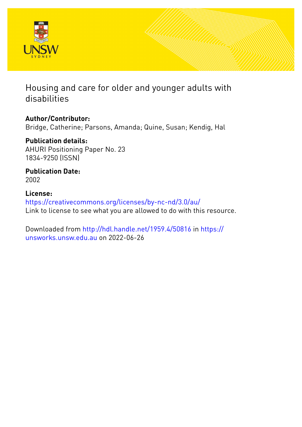

# Housing and care for older and younger adults with disabilities

# **Author/Contributor:**

Bridge, Catherine; Parsons, Amanda; Quine, Susan; Kendig, Hal

### **Publication details:** AHURI Positioning Paper No. 23 1834-9250 (ISSN)

**Publication Date:** 2002

# **License:** <https://creativecommons.org/licenses/by-nc-nd/3.0/au/> Link to license to see what you are allowed to do with this resource.

Downloaded from <http://hdl.handle.net/1959.4/50816> in [https://](https://unsworks.unsw.edu.au) [unsworks.unsw.edu.au](https://unsworks.unsw.edu.au) on 2022-06-26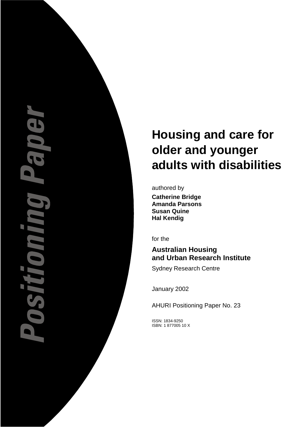# EVIE **TUNNER**

# **Housing and care for older and younger adults with disabilities**

authored by

**Catherine Bridge Amanda Parsons Susan Quine Hal Kendig** 

for the

# **Australian Housing and Urban Research Institute**

Sydney Research Centre

January 2002

AHURI Positioning Paper No. 23

ISSN: 1834-9250 ISBN: 1 877005 10 X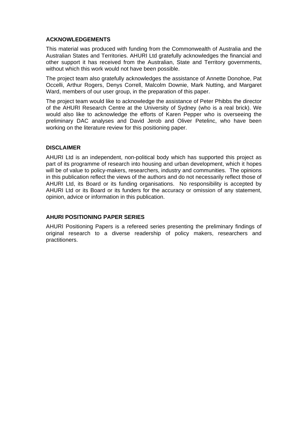### **ACKNOWLEDGEMENTS**

This material was produced with funding from the Commonwealth of Australia and the Australian States and Territories. AHURI Ltd gratefully acknowledges the financial and other support it has received from the Australian, State and Territory governments, without which this work would not have been possible.

The project team also gratefully acknowledges the assistance of Annette Donohoe, Pat Occelli, Arthur Rogers, Denys Correll, Malcolm Downie, Mark Nutting, and Margaret Ward, members of our user group, in the preparation of this paper.

The project team would like to acknowledge the assistance of Peter Phibbs the director of the AHURI Research Centre at the University of Sydney (who is a real brick). We would also like to acknowledge the efforts of Karen Pepper who is overseeing the preliminary DAC analyses and David Jerob and Oliver Petelinc, who have been working on the literature review for this positioning paper.

### **DISCLAIMER**

AHURI Ltd is an independent, non-political body which has supported this project as part of its programme of research into housing and urban development, which it hopes will be of value to policy-makers, researchers, industry and communities. The opinions in this publication reflect the views of the authors and do not necessarily reflect those of AHURI Ltd, its Board or its funding organisations. No responsibility is accepted by AHURI Ltd or its Board or its funders for the accuracy or omission of any statement, opinion, advice or information in this publication.

### **AHURI POSITIONING PAPER SERIES**

AHURI Positioning Papers is a refereed series presenting the preliminary findings of original research to a diverse readership of policy makers, researchers and practitioners.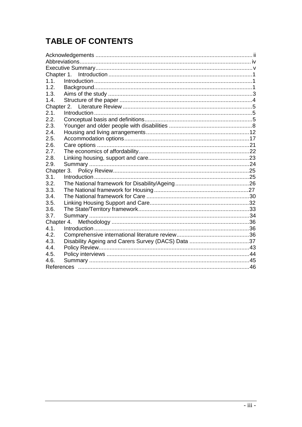# **TABLE OF CONTENTS**

| Chapter 1. |  |  |  |
|------------|--|--|--|
| 1.1.       |  |  |  |
| 1.2.       |  |  |  |
| 1.3.       |  |  |  |
| 1.4.       |  |  |  |
|            |  |  |  |
| 2.1.       |  |  |  |
| 2.2.       |  |  |  |
| 2.3.       |  |  |  |
| 2.4.       |  |  |  |
| 2.5.       |  |  |  |
| 2.6.       |  |  |  |
| 2.7.       |  |  |  |
| 2.8.       |  |  |  |
| 2.9.       |  |  |  |
| Chapter 3. |  |  |  |
| 3.1.       |  |  |  |
| 3.2.       |  |  |  |
| 3.3.       |  |  |  |
| 3.4.       |  |  |  |
| 3.5.       |  |  |  |
| 3.6.       |  |  |  |
| 3.7.       |  |  |  |
| Chapter 4. |  |  |  |
| 4.1.       |  |  |  |
| 4.2.       |  |  |  |
| 4.3.       |  |  |  |
| 4.4.       |  |  |  |
| 4.5.       |  |  |  |
| 4.6.       |  |  |  |
|            |  |  |  |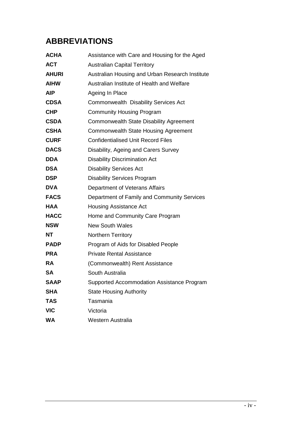# **ABBREVIATIONS**

| <b>ACHA</b>  | Assistance with Care and Housing for the Aged   |
|--------------|-------------------------------------------------|
| <b>ACT</b>   | <b>Australian Capital Territory</b>             |
| <b>AHURI</b> | Australian Housing and Urban Research Institute |
| <b>AIHW</b>  | Australian Institute of Health and Welfare      |
| <b>AIP</b>   | Ageing In Place                                 |
| <b>CDSA</b>  | Commonwealth Disability Services Act            |
| <b>CHP</b>   | <b>Community Housing Program</b>                |
| <b>CSDA</b>  | <b>Commonwealth State Disability Agreement</b>  |
| <b>CSHA</b>  | <b>Commonwealth State Housing Agreement</b>     |
| <b>CURF</b>  | <b>Confidentialised Unit Record Files</b>       |
| <b>DACS</b>  | Disability, Ageing and Carers Survey            |
| <b>DDA</b>   | <b>Disability Discrimination Act</b>            |
| <b>DSA</b>   | <b>Disability Services Act</b>                  |
| <b>DSP</b>   | <b>Disability Services Program</b>              |
| <b>DVA</b>   | Department of Veterans Affairs                  |
| <b>FACS</b>  | Department of Family and Community Services     |
| <b>HAA</b>   | <b>Housing Assistance Act</b>                   |
| <b>HACC</b>  | Home and Community Care Program                 |
| <b>NSW</b>   | <b>New South Wales</b>                          |
| <b>NT</b>    | <b>Northern Territory</b>                       |
| <b>PADP</b>  | Program of Aids for Disabled People             |
| <b>PRA</b>   | <b>Private Rental Assistance</b>                |
| <b>RA</b>    | (Commonwealth) Rent Assistance                  |
| <b>SA</b>    | South Australia                                 |
| <b>SAAP</b>  | Supported Accommodation Assistance Program      |
| <b>SHA</b>   | <b>State Housing Authority</b>                  |
| <b>TAS</b>   | Tasmania                                        |
| <b>VIC</b>   | Victoria                                        |
| <b>WA</b>    | Western Australia                               |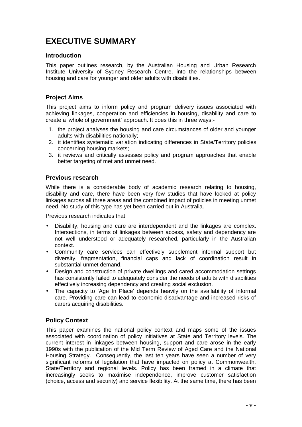# **EXECUTIVE SUMMARY**

### **Introduction**

This paper outlines research, by the Australian Housing and Urban Research Institute University of Sydney Research Centre, into the relationships between housing and care for younger and older adults with disabilities.

### **Project Aims**

This project aims to inform policy and program delivery issues associated with achieving linkages, cooperation and efficiencies in housing, disability and care to create a 'whole of government' approach. It does this in three ways:-

- 1. the project analyses the housing and care circumstances of older and younger adults with disabilities nationally;
- 2. it identifies systematic variation indicating differences in State/Territory policies concerning housing markets;
- 3. it reviews and critically assesses policy and program approaches that enable better targeting of met and unmet need.

### **Previous research**

While there is a considerable body of academic research relating to housing, disability and care, there have been very few studies that have looked at policy linkages across all three areas and the combined impact of policies in meeting unmet need. No study of this type has yet been carried out in Australia.

Previous research indicates that:

- Disability, housing and care are interdependent and the linkages are complex. Intersections, in terms of linkages between access, safety and dependency are not well understood or adequately researched, particularly in the Australian context.
- Community care services can effectively supplement informal support but diversity, fragmentation, financial caps and lack of coordination result in substantial unmet demand.
- Design and construction of private dwellings and cared accommodation settings has consistently failed to adequately consider the needs of adults with disabilities effectively increasing dependency and creating social exclusion.
- The capacity to 'Age In Place' depends heavily on the availability of informal care. Providing care can lead to economic disadvantage and increased risks of carers acquiring disabilities.

### **Policy Context**

This paper examines the national policy context and maps some of the issues associated with coordination of policy initiatives at State and Territory levels. The current interest in linkages between housing, support and care arose in the early 1990s with the publication of the Mid Term Review of Aged Care and the National Housing Strategy. Consequently, the last ten years have seen a number of very significant reforms of legislation that have impacted on policy at Commonwealth, State/Territory and regional levels. Policy has been framed in a climate that increasingly seeks to maximise independence, improve customer satisfaction (choice, access and security) and service flexibility. At the same time, there has been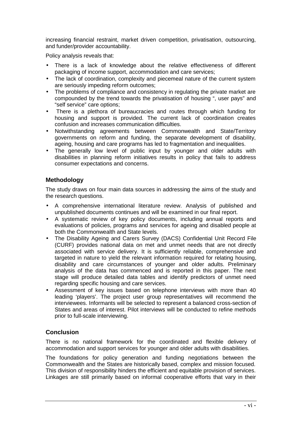increasing financial restraint, market driven competition, privatisation, outsourcing, and funder/provider accountability.

Policy analysis reveals that:

- There is a lack of knowledge about the relative effectiveness of different packaging of income support, accommodation and care services;
- The lack of coordination, complexity and piecemeal nature of the current system are seriously impeding reform outcomes;
- The problems of compliance and consistency in regulating the private market are compounded by the trend towards the privatisation of housing ", user pays" and "self service" care options;
- There is a plethora of bureaucracies and routes through which funding for housing and support is provided. The current lack of coordination creates confusion and increases communication difficulties.
- Notwithstanding agreements between Commonwealth and State/Territory governments on reform and funding, the separate development of disability, ageing, housing and care programs has led to fragmentation and inequalities.
- The generally low level of public input by younger and older adults with disabilities in planning reform initiatives results in policy that fails to address consumer expectations and concerns.

### **Methodology**

The study draws on four main data sources in addressing the aims of the study and the research questions.

- A comprehensive international literature review. Analysis of published and unpublished documents continues and will be examined in our final report.
- A systematic review of key policy documents, including annual reports and evaluations of policies, programs and services for ageing and disabled people at both the Commonwealth and State levels.
- The Disability Ageing and Carers Survey (DACS) Confidential Unit Record File (CURF) provides national data on met and unmet needs that are not directly associated with service delivery. It is sufficiently reliable, comprehensive and targeted in nature to yield the relevant information required for relating housing, disability and care circumstances of younger and older adults. Preliminary analysis of the data has commenced and is reported in this paper. The next stage will produce detailed data tables and identify predictors of unmet need regarding specific housing and care services.
- Assessment of key issues based on telephone interviews with more than 40 leading 'players'. The project user group representatives will recommend the interviewees. Informants will be selected to represent a balanced cross-section of States and areas of interest. Pilot interviews will be conducted to refine methods prior to full-scale interviewing.

### **Conclusion**

There is no national framework for the coordinated and flexible delivery of accommodation and support services for younger and older adults with disabilities.

The foundations for policy generation and funding negotiations between the Commonwealth and the States are historically based, complex and mission focused. This division of responsibility hinders the efficient and equitable provision of services. Linkages are still primarily based on informal cooperative efforts that vary in their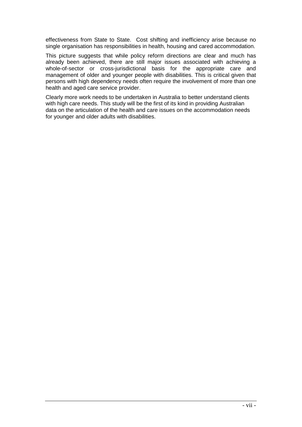effectiveness from State to State. Cost shifting and inefficiency arise because no single organisation has responsibilities in health, housing and cared accommodation.

This picture suggests that while policy reform directions are clear and much has already been achieved, there are still major issues associated with achieving a whole-of-sector or cross-jurisdictional basis for the appropriate care and management of older and younger people with disabilities. This is critical given that persons with high dependency needs often require the involvement of more than one health and aged care service provider.

Clearly more work needs to be undertaken in Australia to better understand clients with high care needs. This study will be the first of its kind in providing Australian data on the articulation of the health and care issues on the accommodation needs for younger and older adults with disabilities.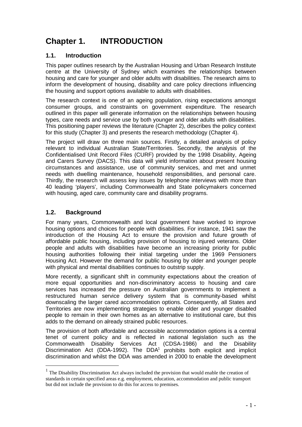# **Chapter 1. INTRODUCTION**

### **1.1. Introduction**

This paper outlines research by the Australian Housing and Urban Research Institute centre at the University of Sydney which examines the relationships between housing and care for younger and older adults with disabilities. The research aims to inform the development of housing, disability and care policy directions influencing the housing and support options available to adults with disabilities.

The research context is one of an ageing population, rising expectations amongst consumer groups, and constraints on government expenditure. The research outlined in this paper will generate information on the relationships between housing types, care needs and service use by both younger and older adults with disabilities. This positioning paper reviews the literature (Chapter 2), describes the policy context for this study (Chapter 3) and presents the research methodology (Chapter 4).

The project will draw on three main sources. Firstly, a detailed analysis of policy relevant to individual Australian State/Territories. Secondly, the analysis of the Confidentialised Unit Record Files (CURF) provided by the 1998 Disability, Ageing and Carers Survey (DACS). This data will yield information about present housing circumstances and assistance, use of community services, and met and unmet needs with dwelling maintenance, household responsibilities, and personal care. Thirdly, the research will assess key issues by telephone interviews with more than 40 leading 'players', including Commonwealth and State policymakers concerned with housing, aged care, community care and disability programs.

### **1.2. Background**

-

For many years, Commonwealth and local government have worked to improve housing options and choices for people with disabilities. For instance, 1941 saw the introduction of the Housing Act to ensure the provision and future growth of affordable public housing, including provision of housing to injured veterans. Older people and adults with disabilities have become an increasing priority for public housing authorities following their initial targeting under the 1969 Pensioners Housing Act. However the demand for public housing by older and younger people with physical and mental disabilities continues to outstrip supply.

More recently, a significant shift in community expectations about the creation of more equal opportunities and non-discriminatory access to housing and care services has increased the pressure on Australian governments to implement a restructured human service delivery system that is community-based whilst downscaling the larger cared accommodation options. Consequently, all States and Territories are now implementing strategies to enable older and younger disabled people to remain in their own homes as an alternative to institutional care, but this adds to the demand on already strained public resources.

The provision of both affordable and accessible accommodation options is a central tenet of current policy and is reflected in national legislation such as the Commonwealth Disability Services Act (CDSA-1986) and the Disability Discrimination Act (DDA-1992). The DDA<sup>1</sup> prohibits both explicit and implicit discrimination and whilst the DDA was amended in 2000 to enable the development

 $1$  The Disability Discrimination Act always included the provision that would enable the creation of standards in certain specified areas e.g. employment, education, accommodation and public transport but did not include the provision to do this for access to premises.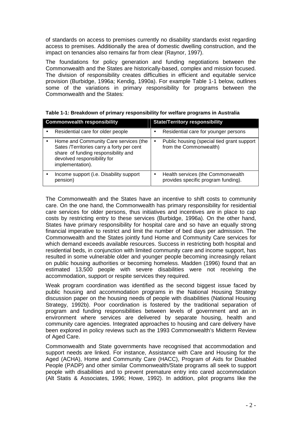of standards on access to premises currently no disability standards exist regarding access to premises. Additionally the area of domestic dwelling construction, and the impact on tenancies also remains far from clear (Raynor, 1997).

The foundations for policy generation and funding negotiations between the Commonwealth and the States are historically-based, complex and mission focused. The division of responsibility creates difficulties in efficient and equitable service provision (Burbidge, 1996a; Kendig, 1990a). For example Table 1-1 below, outlines some of the variations in primary responsibility for programs between the Commonwealth and the States:

| <b>Commonwealth responsibility</b> |                                                                                                                                                                              |           | <b>State/Territory responsibility</b>                                    |
|------------------------------------|------------------------------------------------------------------------------------------------------------------------------------------------------------------------------|-----------|--------------------------------------------------------------------------|
|                                    | Residential care for older people                                                                                                                                            |           | Residential care for younger persons                                     |
|                                    | Home and Community Care services (the<br>Sates /Territories carry a forty per cent<br>share of funding responsibility and<br>devolved responsibility for<br>implementation). |           | Public housing (special tied grant support<br>from the Commonwealth)     |
|                                    | Income support (i.e. Disability support<br>pension)                                                                                                                          | $\bullet$ | Health services (the Commonwealth<br>provides specific program funding). |

The Commonwealth and the States have an incentive to shift costs to community care. On the one hand, the Commonwealth has primary responsibility for residential care services for older persons, thus initiatives and incentives are in place to cap costs by restricting entry to these services (Burbidge, 1996a). On the other hand, States have primary responsibility for hospital care and so have an equally strong financial imperative to restrict and limit the number of bed days per admission. The Commonwealth and the States jointly fund Home and Community Care services for which demand exceeds available resources. Success in restricting both hospital and residential beds, in conjunction with limited community care and income support, has resulted in some vulnerable older and younger people becoming increasingly reliant on public housing authorities or becoming homeless. Madden (1996) found that an estimated 13,500 people with severe disabilities were not receiving the accommodation, support or respite services they required.

Weak program coordination was identified as the second biggest issue faced by public housing and accommodation programs in the National Housing Strategy discussion paper on the housing needs of people with disabilities (National Housing Strategy, 1992b). Poor coordination is fostered by the traditional separation of program and funding responsibilities between levels of government and an in environment where services are delivered by separate housing, health and community care agencies. Integrated approaches to housing and care delivery have been explored in policy reviews such as the 1993 Commonwealth's Midterm Review of Aged Care.

Commonwealth and State governments have recognised that accommodation and support needs are linked. For instance, Assistance with Care and Housing for the Aged (ACHA), Home and Community Care (HACC), Program of Aids for Disabled People (PADP) and other similar Commonwealth/State programs all seek to support people with disabilities and to prevent premature entry into cared accommodation (Alt Statis & Associates, 1996; Howe, 1992). In addition, pilot programs like the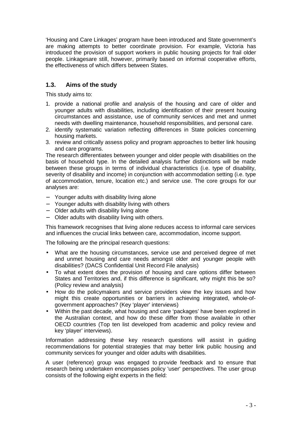'Housing and Care Linkages' program have been introduced and State government's are making attempts to better coordinate provision. For example, Victoria has introduced the provision of support workers in public housing projects for frail older people. Linkagesare still, however, primarily based on informal cooperative efforts, the effectiveness of which differs between States.

### **1.3. Aims of the study**

This study aims to:

- 1. provide a national profile and analysis of the housing and care of older and younger adults with disabilities, including identification of their present housing circumstances and assistance, use of community services and met and unmet needs with dwelling maintenance, household responsibilities, and personal care.
- 2. identify systematic variation reflecting differences in State policies concerning housing markets.
- 3. review and critically assess policy and program approaches to better link housing and care programs.

The research differentiates between younger and older people with disabilities on the basis of household type. In the detailed analysis further distinctions will be made between these groups in terms of individual characteristics (i.e. type of disability, severity of disability and income) in conjunction with accommodation setting (i.e. type of accommodation, tenure, location etc.) and service use. The core groups for our analyses are:

- − Younger adults with disability living alone
- − Younger adults with disability living with others
- − Older adults with disability living alone
- − Older adults with disability living with others.

This framework recognises that living alone reduces access to informal care services and influences the crucial links between care, accommodation, income support.

The following are the principal research questions:

- What are the housing circumstances, service use and perceived degree of met and unmet housing and care needs amongst older and younger people with disabilities? (DACS Confidential Unit Record File analysis)
- To what extent does the provision of housing and care options differ between States and Territories and, if this difference is significant, why might this be so? (Policy review and analysis)
- How do the policymakers and service providers view the key issues and how might this create opportunities or barriers in achieving integrated, whole-ofgovernment approaches? (Key 'player' interviews)
- Within the past decade, what housing and care 'packages' have been explored in the Australian context, and how do these differ from those available in other OECD countries (Top ten list developed from academic and policy review and key 'player' interviews).

Information addressing these key research questions will assist in guiding recommendations for potential strategies that may better link public housing and community services for younger and older adults with disabilities.

A user (reference) group was engaged to provide feedback and to ensure that research being undertaken encompasses policy 'user' perspectives. The user group consists of the following eight experts in the field: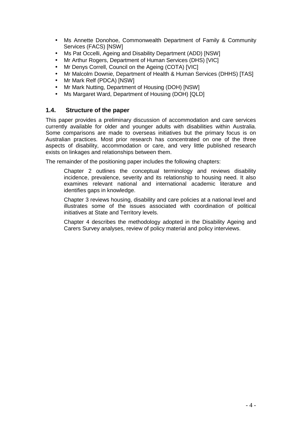- Ms Annette Donohoe, Commonwealth Department of Family & Community Services (FACS) [NSW]
- Ms Pat Occelli, Ageing and Disability Department (ADD) [NSW]
- Mr Arthur Rogers, Department of Human Services (DHS) [VIC]
- Mr Denys Correll, Council on the Ageing (COTA) [VIC]
- Mr Malcolm Downie, Department of Health & Human Services (DHHS) [TAS]
- Mr Mark Relf (PDCA) [NSW]
- Mr Mark Nutting, Department of Housing (DOH) [NSW]
- Ms Margaret Ward, Department of Housing (DOH) [QLD]

### **1.4. Structure of the paper**

This paper provides a preliminary discussion of accommodation and care services currently available for older and younger adults with disabilities within Australia. Some comparisons are made to overseas initiatives but the primary focus is on Australian practices. Most prior research has concentrated on one of the three aspects of disability, accommodation or care, and very little published research exists on linkages and relationships between them.

The remainder of the positioning paper includes the following chapters:

Chapter 2 outlines the conceptual terminology and reviews disability incidence, prevalence, severity and its relationship to housing need. It also examines relevant national and international academic literature and identifies gaps in knowledge.

Chapter 3 reviews housing, disability and care policies at a national level and illustrates some of the issues associated with coordination of political initiatives at State and Territory levels.

Chapter 4 describes the methodology adopted in the Disability Ageing and Carers Survey analyses, review of policy material and policy interviews.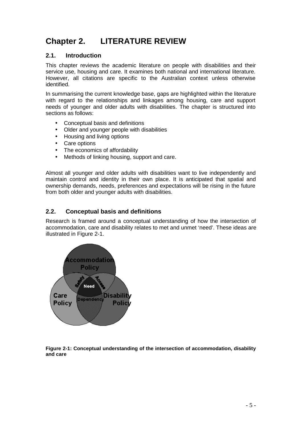# **Chapter 2. LITERATURE REVIEW**

### **2.1. Introduction**

This chapter reviews the academic literature on people with disabilities and their service use, housing and care. It examines both national and international literature. However, all citations are specific to the Australian context unless otherwise identified.

In summarising the current knowledge base, gaps are highlighted within the literature with regard to the relationships and linkages among housing, care and support needs of younger and older adults with disabilities. The chapter is structured into sections as follows:

- Conceptual basis and definitions
- Older and younger people with disabilities
- Housing and living options
- Care options
- The economics of affordability
- Methods of linking housing, support and care.

Almost all younger and older adults with disabilities want to live independently and maintain control and identity in their own place. It is anticipated that spatial and ownership demands, needs, preferences and expectations will be rising in the future from both older and younger adults with disabilities.

### **2.2. Conceptual basis and definitions**

Research is framed around a conceptual understanding of how the intersection of accommodation, care and disability relates to met and unmet 'need'. These ideas are illustrated in Figure 2-1.



**Figure 2-1: Conceptual understanding of the intersection of accommodation, disability and care**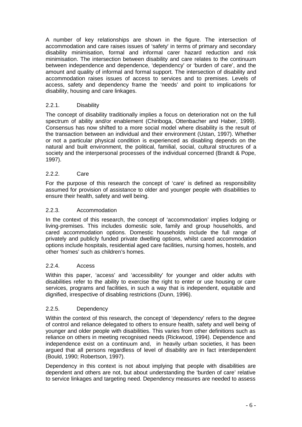A number of key relationships are shown in the figure. The intersection of accommodation and care raises issues of 'safety' in terms of primary and secondary disability minimisation, formal and informal carer hazard reduction and risk minimisation. The intersection between disability and care relates to the continuum between independence and dependence, 'dependency' or 'burden of care', and the amount and quality of informal and formal support. The intersection of disability and accommodation raises issues of access to services and to premises. Levels of access, safety and dependency frame the 'needs' and point to implications for disability, housing and care linkages.

### 2.2.1. Disability

The concept of disability traditionally implies a focus on deterioration not on the full spectrum of ability and/or enablement (Chiriboga, Ottenbacher and Haber, 1999). Consensus has now shifted to a more social model where disability is the result of the transaction between an individual and their environment (Ustan, 1997). Whether or not a particular physical condition is experienced as disabling depends on the natural and built environment, the political, familial, social, cultural structures of a society and the interpersonal processes of the individual concerned (Brandt & Pope, 1997).

### 2.2.2. Care

For the purpose of this research the concept of 'care' is defined as responsibility assumed for provision of assistance to older and younger people with disabilities to ensure their health, safety and well being.

### 2.2.3. Accommodation

In the context of this research, the concept of 'accommodation' implies lodging or living-premises. This includes domestic sole, family and group households, and cared accommodation options. Domestic households include the full range of privately and publicly funded private dwelling options, whilst cared accommodation options include hospitals, residential aged care facilities, nursing homes, hostels, and other 'homes' such as children's homes.

### 2.2.4. Access

Within this paper, 'access' and 'accessibility' for younger and older adults with disabilities refer to the ability to exercise the right to enter or use housing or care services, programs and facilities, in such a way that is independent, equitable and dignified, irrespective of disabling restrictions (Dunn, 1996).

### 2.2.5. Dependency

Within the context of this research, the concept of 'dependency' refers to the degree of control and reliance delegated to others to ensure health, safety and well being of younger and older people with disabilities. This varies from other definitions such as reliance on others in meeting recognised needs (Rickwood, 1994). Dependence and independence exist on a continuum and, in heavily urban societies, it has been argued that all persons regardless of level of disability are in fact interdependent (Bould, 1990; Robertson, 1997).

Dependency in this context is not about implying that people with disabilities are dependent and others are not, but about understanding the 'burden of care' relative to service linkages and targeting need. Dependency measures are needed to assess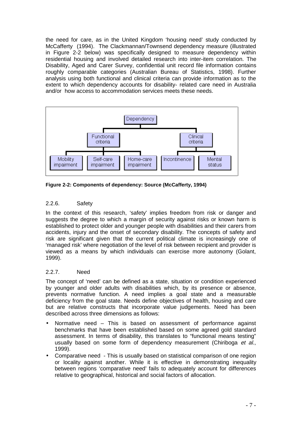the need for care, as in the United Kingdom 'housing need' study conducted by McCafferty (1994). The Clackmannan/Townsend dependency measure (illustrated in Figure 2-2 below) was specifically designed to measure dependency within residential housing and involved detailed research into inter-item correlation. The Disability, Aged and Carer Survey, confidential unit record file information contains roughly comparable categories (Australian Bureau of Statistics, 1998). Further analysis using both functional and clinical criteria can provide information as to the extent to which dependency accounts for disability- related care need in Australia and/or how access to accommodation services meets these needs.



**Figure 2-2: Components of dependency: Source (McCafferty, 1994)** 

### 2.2.6. Safety

In the context of this research, 'safety' implies freedom from risk or danger and suggests the degree to which a margin of security against risks or known harm is established to protect older and younger people with disabilities and their carers from accidents, injury and the onset of secondary disability. The concepts of safety and risk are significant given that the current political climate is increasingly one of 'managed risk' where negotiation of the level of risk between recipient and provider is viewed as a means by which individuals can exercise more autonomy (Golant, 1999).

### 2.2.7. Need

The concept of 'need' can be defined as a state, situation or condition experienced by younger and older adults with disabilities which, by its presence or absence, prevents normative function. A need implies a goal state and a measurable deficiency from the goal state. Needs define objectives of health, housing and care but are relative constructs that incorporate value judgements. Need has been described across three dimensions as follows:

- Normative need This is based on assessment of performance against benchmarks that have been established based on some agreed gold standard assessment. In terms of disability, this translates to "functional means testing" usually based on some form of dependency measurement (Chiriboga et al., 1999).
- Comparative need This is usually based on statistical comparison of one region or locality against another. While it is effective in demonstrating inequality between regions 'comparative need' fails to adequately account for differences relative to geographical, historical and social factors of allocation.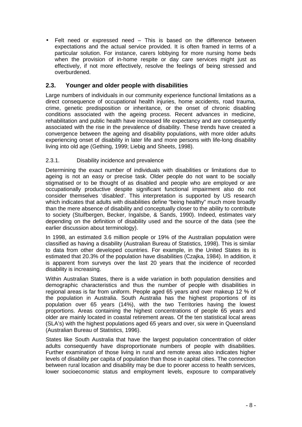• Felt need or expressed need – This is based on the difference between expectations and the actual service provided. It is often framed in terms of a particular solution. For instance, carers lobbying for more nursing home beds when the provision of in-home respite or day care services might just as effectively, if not more effectively, resolve the feelings of being stressed and overburdened.

### **2.3. Younger and older people with disabilities**

Large numbers of individuals in our community experience functional limitations as a direct consequence of occupational health injuries, home accidents, road trauma, crime, genetic predisposition or inheritance, or the onset of chronic disabling conditions associated with the ageing process. Recent advances in medicine, rehabilitation and public health have increased life expectancy and are consequently associated with the rise in the prevalence of disability. These trends have created a convergence between the ageing and disability populations, with more older adults experiencing onset of disability in later life and more persons with life-long disability living into old age (Gething, 1999; Liebig and Sheets, 1998).

### 2.3.1. Disability incidence and prevalence

Determining the exact number of individuals with disabilities or limitations due to ageing is not an easy or precise task. Older people do not want to be socially stigmatised or to be thought of as disabled and people who are employed or are occupationally productive despite significant functional impairment also do not consider themselves 'disabled'. This interpretation is supported by US research which indicates that adults with disabilities define "being healthy" much more broadly than the mere absence of disability and conceptually closer to the ability to contribute to society (Stuifbergen, Becker, Ingalsbe, & Sands, 1990). Indeed, estimates vary depending on the definition of disability used and the source of the data (see the earlier discussion about terminology).

In 1998, an estimated 3.6 million people or 19% of the Australian population were classified as having a disability (Australian Bureau of Statistics, 1998). This is similar to data from other developed countries. For example, in the United States its is estimated that 20.3% of the population have disabilities (Czajka, 1984). In addition, it is apparent from surveys over the last 20 years that the incidence of recorded disability is increasing.

Within Australian States, there is a wide variation in both population densities and demographic characteristics and thus the number of people with disabilities in regional areas is far from uniform. People aged 65 years and over makeup 12 % of the population in Australia. South Australia has the highest proportions of its population over 65 years (14%), with the two Territories having the lowest proportions. Areas containing the highest concentrations of people 65 years and older are mainly located in coastal retirement areas. Of the ten statistical local areas (SLA's) with the highest populations aged 65 years and over, six were in Queensland (Australian Bureau of Statistics, 1996).

States like South Australia that have the largest population concentration of older adults consequently have disproportionate numbers of people with disabilities. Further examination of those living in rural and remote areas also indicates higher levels of disability per capita of population than those in capital cities. The connection between rural location and disability may be due to poorer access to health services, lower socioeconomic status and employment levels, exposure to comparatively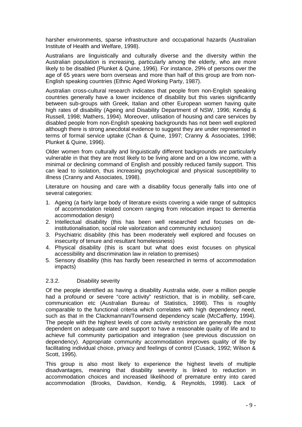harsher environments, sparse infrastructure and occupational hazards (Australian Institute of Health and Welfare, 1998).

Australians are linguistically and culturally diverse and the diversity within the Australian population is increasing, particularly among the elderly, who are more likely to be disabled (Plunket & Quine, 1996). For instance, 29% of persons over the age of 65 years were born overseas and more than half of this group are from non-English speaking countries (Ethnic Aged Working Party, 1987).

Australian cross-cultural research indicates that people from non-English speaking countries generally have a lower incidence of disability but this varies significantly between sub-groups with Greek, Italian and other European women having quite high rates of disability (Ageing and Disability Department of NSW, 1996; Kendig & Russell, 1998; Mathers, 1994). Moreover, utilisation of housing and care services by disabled people from non-English speaking backgrounds has not been well explored although there is strong anecdotal evidence to suggest they are under represented in terms of formal service uptake (Chan & Quine, 1997; Cranny & Associates, 1998; Plunket & Quine, 1996).

Older women from culturally and linguistically different backgrounds are particularly vulnerable in that they are most likely to be living alone and on a low income, with a minimal or declining command of English and possibly reduced family support. This can lead to isolation, thus increasing psychological and physical susceptibility to illness (Cranny and Associates, 1998).

Literature on housing and care with a disability focus generally falls into one of several categories:

- 1. Ageing (a fairly large body of literature exists covering a wide range of subtopics of accommodation related concern ranging from relocation impact to dementia accommodation design)
- 2. Intellectual disability (this has been well researched and focuses on deinstitutionalisation, social role valorization and community inclusion)
- 3. Psychiatric disability (this has been moderately well explored and focuses on insecurity of tenure and resultant homelessness)
- 4. Physical disability (this is scant but what does exist focuses on physical accessibility and discrimination law in relation to premises)
- 5. Sensory disability (this has hardly been researched in terms of accommodation impacts)

### 2.3.2. Disability severity

Of the people identified as having a disability Australia wide, over a million people had a profound or severe "core activity" restriction, that is in mobility, self-care, communication etc (Australian Bureau of Statistics, 1998). This is roughly comparable to the functional criteria which correlates with high dependency need, such as that in the Clackmannan/Townsend dependency scale (McCafferty, 1994). The people with the highest levels of core activity restriction are generally the most dependent on adequate care and support to have a reasonable quality of life and to achieve full community participation and integration (see previous discussion on dependency). Appropriate community accommodation improves quality of life by facilitating individual choice, privacy and feelings of control (Cusack, 1992; Wilson & Scott, 1995).

This group is also most likely to experience the highest levels of multiple disadvantages, meaning that disability severity is linked to reduction in accommodation choices and increased likelihood of premature entry into cared accommodation (Brooks, Davidson, Kendig, & Reynolds, 1998). Lack of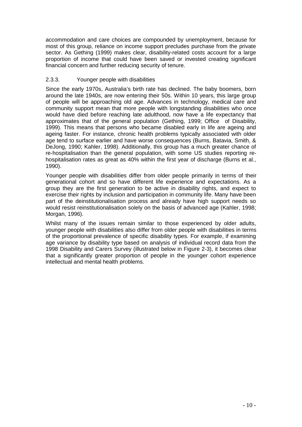accommodation and care choices are compounded by unemployment, because for most of this group, reliance on income support precludes purchase from the private sector. As Gething (1999) makes clear, disability-related costs account for a large proportion of income that could have been saved or invested creating significant financial concern and further reducing security of tenure.

### 2.3.3. Younger people with disabilities

Since the early 1970s, Australia's birth rate has declined. The baby boomers, born around the late 1940s, are now entering their 50s. Within 10 years, this large group of people will be approaching old age. Advances in technology, medical care and community support mean that more people with longstanding disabilities who once would have died before reaching late adulthood, now have a life expectancy that approximates that of the general population (Gething, 1999; Office of Disability, 1999). This means that persons who became disabled early in life are ageing and ageing faster. For instance, chronic health problems typically associated with older age tend to surface earlier and have worse consequences (Burns, Batavia, Smith, & DeJong, 1990; Kahler, 1998). Additionally, this group has a much greater chance of re-hospitalisation than the general population, with some US studies reporting rehospitalisation rates as great as 40% within the first year of discharge (Burns et al., 1990).

Younger people with disabilities differ from older people primarily in terms of their generational cohort and so have different life experience and expectations. As a group they are the first generation to be active in disability rights, and expect to exercise their rights by inclusion and participation in community life. Many have been part of the deinstitutionalisation process and already have high support needs so would resist reinstitutionalisation solely on the basis of advanced age (Kahler, 1998; Morgan, 1996).

Whilst many of the issues remain similar to those experienced by older adults, younger people with disabilities also differ from older people with disabilities in terms of the proportional prevalence of specific disability types. For example, if examining age variance by disability type based on analysis of individual record data from the 1998 Disability and Carers Survey (illustrated below in Figure 2-3), it becomes clear that a significantly greater proportion of people in the younger cohort experience intellectual and mental health problems.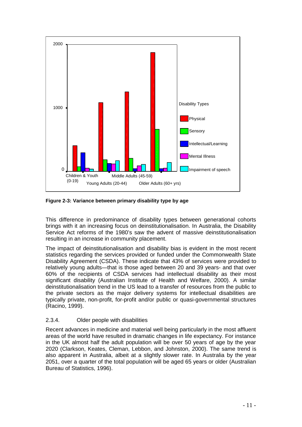

**Figure 2-3: Variance between primary disability type by age** 

This difference in predominance of disability types between generational cohorts brings with it an increasing focus on deinstitutionalisation. In Australia, the Disability Service Act reforms of the 1980's saw the advent of massive deinstitutionalisation resulting in an increase in community placement.

The impact of deinstitutionalisation and disability bias is evident in the most recent statistics regarding the services provided or funded under the Commonwealth State Disability Agreement (CSDA). These indicate that 43% of services were provided to relatively young adults—that is those aged between 20 and 39 years- and that over 60% of the recipients of CSDA services had intellectual disability as their most significant disability (Australian Institute of Health and Welfare, 2000). A similar deinstitutionalisation trend in the US lead to a transfer of resources from the public to the private sectors as the major delivery systems for intellectual disabilities are typically private, non-profit, for-profit and/or public or quasi-governmental structures (Racino, 1999).

### 2.3.4. Older people with disabilities

Recent advances in medicine and material well being particularly in the most affluent areas of the world have resulted in dramatic changes in life expectancy. For instance in the UK almost half the adult population will be over 50 years of age by the year 2020 (Clarkson, Keates, Cleman, Lebbon, and Johnston, 2000). The same trend is also apparent in Australia, albeit at a slightly slower rate. In Australia by the year 2051, over a quarter of the total population will be aged 65 years or older (Australian Bureau of Statistics, 1996).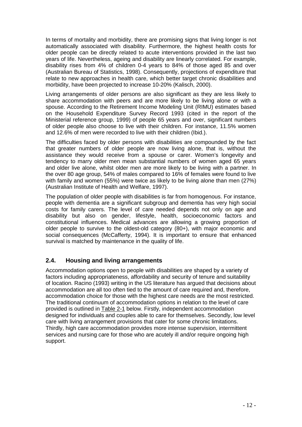In terms of mortality and morbidity, there are promising signs that living longer is not automatically associated with disability. Furthermore, the highest health costs for older people can be directly related to acute interventions provided in the last two years of life. Nevertheless, ageing and disability are linearly correlated. For example, disability rises from 4% of children 0-4 years to 84% of those aged 85 and over (Australian Bureau of Statistics, 1998). Consequently, projections of expenditure that relate to new approaches in health care, which better target chronic disabilities and morbidity, have been projected to increase 10-20% (Kalisch, 2000).

Living arrangements of older persons are also significant as they are less likely to share accommodation with peers and are more likely to be living alone or with a spouse. According to the Retirement Income Modeling Unit (RIMU) estimates based on the Household Expenditure Survey Record 1993 (cited in the report of the Ministerial reference group, 1999) of people 65 years and over, significant numbers of older people also choose to live with their children. For instance, 11.5% women and 12.6% of men were recorded to live with their children (Ibid.).

The difficulties faced by older persons with disabilities are compounded by the fact that greater numbers of older people are now living alone, that is, without the assistance they would receive from a spouse or carer. Women's longevity and tendency to marry older men mean substantial numbers of women aged 65 years and older live alone, whilst older men are more likely to be living with a partner. In the over 80 age group, 54% of males compared to 16% of females were found to live with family and women (55%) were twice as likely to be living alone than men (27%) (Australian Institute of Health and Welfare, 1997).

The population of older people with disabilities is far from homogenous. For instance, people with dementia are a significant subgroup and dementia has very high social costs for family carers. The level of care needed depends not only on age and disability but also on gender, lifestyle, health, socioeconomic factors and constitutional influences. Medical advances are allowing a growing proportion of older people to survive to the oldest-old category (80+), with major economic and social consequences (McCafferty, 1994). It is important to ensure that enhanced survival is matched by maintenance in the quality of life.

### **2.4. Housing and living arrangements**

Accommodation options open to people with disabilities are shaped by a variety of factors including appropriateness, affordability and security of tenure and suitability of location. Racino (1993) writing in the US literature has argued that decisions about accommodation are all too often tied to the amount of care required and, therefore, accommodation choice for those with the highest care needs are the most restricted. The traditional continuum of accommodation options in relation to the level of care provided is outlined in Table 2-1 below. Firstly, independent accommodation designed for individuals and couples able to care for themselves. Secondly, low level care with living arrangement provisions that cater for some chronic limitations. Thirdly, high care accommodation provides more intense supervision, intermittent services and nursing care for those who are acutely ill and/or require ongoing high support.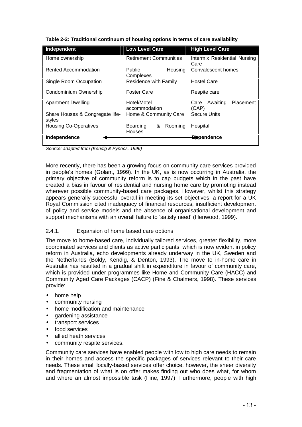| Independent                               | <b>Low Level Care</b>                     |  | <b>High Level Care</b>               |           |
|-------------------------------------------|-------------------------------------------|--|--------------------------------------|-----------|
| Home ownership                            | <b>Retirement Communities</b>             |  | Intermix Residential Nursing<br>Care |           |
| Rented Accommodation                      | Housing<br><b>Public</b><br>Complexes     |  | Convalescent homes                   |           |
| Single Room Occupation                    | Residence with Family                     |  | <b>Hostel Care</b>                   |           |
| Condominium Ownership                     | <b>Foster Care</b>                        |  | Respite care                         |           |
| <b>Apartment Dwelling</b>                 | Hotel/Motel<br>accommodation              |  | Awaiting<br>Care<br>(CAP)            | Placement |
| Share Houses & Congregate life-<br>styles | Home & Community Care                     |  | <b>Secure Units</b>                  |           |
| <b>Housing Co-Operatives</b>              | Boarding<br>Rooming<br>&<br><b>Houses</b> |  | Hospital                             |           |
| Independence                              |                                           |  | <del>D</del> ependence               |           |

**Table 2-2: Traditional continuum of housing options in terms of care availability** 

Source: adapted from (Kendig & Pynoos, 1996)

More recently, there has been a growing focus on community care services provided in people's homes (Golant, 1999). In the UK, as is now occurring in Australia, the primary objective of community reform is to cap budgets which in the past have created a bias in favour of residential and nursing home care by promoting instead wherever possible community-based care packages. However, whilst this strategy appears generally successful overall in meeting its set objectives, a report for a UK Royal Commission cited inadequacy of financial resources, insufficient development of policy and service models and the absence of organisational development and support mechanisms with an overall failure to 'satisfy need' (Henwood, 1999).

### 2.4.1. Expansion of home based care options

The move to home-based care, individually tailored services, greater flexibility, more coordinated services and clients as active participants, which is now evident in policy reform in Australia, echo developments already underway in the UK, Sweden and the Netherlands (Boldy, Kendig, & Denton, 1993). The move to in-home care in Australia has resulted in a gradual shift in expenditure in favour of community care, which is provided under programmes like Home and Community Care (HACC) and Community Aged Care Packages (CACP) (Fine & Chalmers, 1998). These services provide:

- home help
- community nursing
- home modification and maintenance
- gardening assistance
- transport services
- food services
- allied heath services
- community respite services.

Community care services have enabled people with low to high care needs to remain in their homes and access the specific packages of services relevant to their care needs. These small locally-based services offer choice, however, the sheer diversity and fragmentation of what is on offer makes finding out who does what, for whom and where an almost impossible task (Fine, 1997). Furthermore, people with high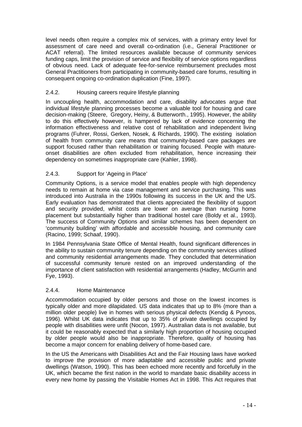level needs often require a complex mix of services, with a primary entry level for assessment of care need and overall co-ordination (i.e., General Practitioner or ACAT referral). The limited resources available because of community services funding caps, limit the provision of service and flexibility of service options regardless of obvious need. Lack of adequate fee-for-service reimbursement precludes most General Practitioners from participating in community-based care forums, resulting in consequent ongoing co-ordination duplication (Fine, 1997).

### 2.4.2. Housing careers require lifestyle planning

In uncoupling health, accommodation and care, disability advocates argue that individual lifestyle planning processes become a valuable tool for housing and care decision-making (Steere, Gregory, Heiny, & Butterworth., 1995). However, the ability to do this effectively however, is hampered by lack of evidence concerning the information effectiveness and relative cost of rehabilitation and independent living programs (Fuhrer, Rossi, Gerken, Nosek, & Richards, 1990). The existing isolation of health from community care means that community-based care packages are support focused rather than rehabilitation or training focused. People with matureonset disabilities are often excluded from rehabilitation, hence increasing their dependency on sometimes inappropriate care (Kahler, 1998).

### 2.4.3. Support for 'Ageing in Place'

Community Options, is a service model that enables people with high dependency needs to remain at home via case management and service purchasing. This was introduced into Australia in the 1990s following its success in the UK and the US. Early evaluation has demonstrated that clients appreciated the flexibility of support and security provided, whilst costs are lower on average than nursing home placement but substantially higher than traditional hostel care (Boldy et al., 1993). The success of Community Options and similar schemes has been dependent on 'community building' with affordable and accessible housing, and community care (Racino, 1999; Schaaf, 1990).

In 1984 Pennsylvania State Office of Mental Health, found significant differences in the ability to sustain community tenure depending on the community services utilised and community residential arrangements made. They concluded that determination of successful community tenure rested on an improved understanding of the importance of client satisfaction with residential arrangements (Hadley, McGurrin and Fye, 1993).

### 2.4.4. Home Maintenance

Accommodation occupied by older persons and those on the lowest incomes is typically older and more dilapidated. US data indicates that up to 8% (more than a million older people) live in homes with serious physical defects (Kendig & Pynoos, 1996). Whilst UK data indicates that up to 35% of private dwellings occupied by people with disabilities were unfit (Nocon, 1997). Australian data is not available, but it could be reasonably expected that a similarly high proportion of housing occupied by older people would also be inappropriate. Therefore, quality of housing has become a major concern for enabling delivery of home-based care.

In the US the Americans with Disabilities Act and the Fair Housing laws have worked to improve the provision of more adaptable and accessible public and private dwellings (Watson, 1990). This has been echoed more recently and forcefully in the UK, which became the first nation in the world to mandate basic disability access in every new home by passing the Visitable Homes Act in 1998. This Act requires that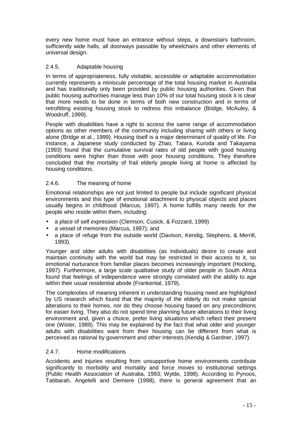every new home must have an entrance without steps, a downstairs bathroom, sufficiently wide halls, all doorways passable by wheelchairs and other elements of universal design.

### 2.4.5. Adaptable housing

In terms of appropriateness, fully visitable, accessible or adaptable accommodation currently represents a miniscule percentage of the total housing market in Australia and has traditionally only been provided by public housing authorities. Given that public housing authorities manage less than 10% of our total housing stock it is clear that more needs to be done in terms of both new construction and in terms of retrofitting existing housing stock to redress this imbalance (Bridge, McAuley, & Woodruff, 1999).

People with disabilities have a right to access the same range of accommodation options as other members of the community including sharing with others or living alone (Bridge et al., 1999). Housing itself is a major determinant of quality of life. For instance, a Japanese study conducted by Zhao, Tatara, Kuroda and Takayama (1993) found that the cumulative survival rates of old people with good housing conditions were higher than those with poor housing conditions. They therefore concluded that the mortality of frail elderly people living at home is affected by housing conditions.

### 2.4.6. The meaning of home

Emotional relationships are not just limited to people but include significant physical environments and this type of emotional attachment to physical objects and places usually begins in childhood (Marcus, 1997). A home fulfills many needs for the people who reside within them, including:

- a place of self expression (Clemson, Cusick, & Fozzard, 1999)
- a vessel of memories (Marcus, 1997); and
- a place of refuge from the outside world (Davison, Kendig, Stephens, & Merrill, 1993).

Younger and older adults with disabilities (as individuals) desire to create and maintain continuity with the world but may be restricted in their access to it, so emotional nurturance from familiar places becomes increasingly important (Hocking, 1997). Furthermore, a large scale qualitative study of older people in South Africa found that feelings of independence were strongly correlated with the ability to age within their usual residential abode (Frankental, 1979).

The complexities of meaning inherent in understanding housing need are highlighted by US research which found that the majority of the elderly do not make special alterations to their homes, nor do they choose housing based on any preconditions for easier living. They also do not spend time planning future alterations to their living environment and, given a choice, prefer living situations which reflect their present one (Wister, 1989). This may be explained by the fact that what older and younger adults with disabilities want from their housing can be different from what is perceived as rational by government and other interests (Kendig & Gardner, 1997).

### 2.4.7. Home modifications

Accidents and injuries resulting from unsupportive home environments contribute significantly to morbidity and mortality and force moves to institutional settings (Public Health Association of Australia, 1993; Wylde, 1998). According to Pynoos, Tabbarah, Angelelli and Demiere (1998), there is general agreement that an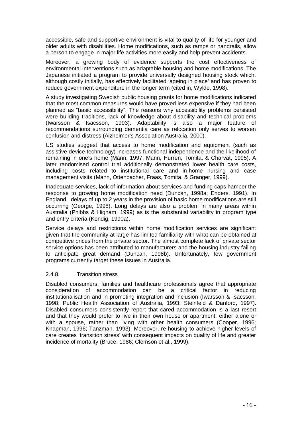accessible, safe and supportive environment is vital to quality of life for younger and older adults with disabilities. Home modifications, such as ramps or handrails, allow a person to engage in major life activities more easily and help prevent accidents.

Moreover, a growing body of evidence supports the cost effectiveness of environmental interventions such as adaptable housing and home modifications. The Japanese initiated a program to provide universally designed housing stock which, although costly initially, has effectively facilitated 'ageing in place' and has proven to reduce government expenditure in the longer term (cited in, Wylde, 1998).

A study investigating Swedish public housing grants for home modifications indicated that the most common measures would have proved less expensive if they had been planned as "basic accessibility". The reasons why accessibility problems persisted were building traditions, lack of knowledge about disability and technical problems (Iwarsson & Isacsson, 1993). Adaptability is also a major feature of recommendations surrounding dementia care as relocation only serves to worsen confusion and distress (Alzheimer's Association Australia, 2000).

US studies suggest that access to home modification and equipment (such as assistive device technology) increases functional independence and the likelihood of remaining in one's home (Mann, 1997; Mann, Hurren, Tomita, & Charvat, 1995). A later randomised control trial additionally demonstrated lower health care costs, including costs related to institutional care and in-home nursing and case management visits (Mann, Ottenbacher, Fraas, Tomita, & Granger, 1999).

Inadequate services, lack of information about services and funding caps hamper the response to growing home modification need (Duncan, 1998a; Enders, 1991). In England, delays of up to 2 years in the provision of basic home modifications are still occurring (George, 1998). Long delays are also a problem in many areas within Australia (Phibbs & Higham, 1999) as is the substantial variability in program type and entry criteria (Kendig, 1990a).

Service delays and restrictions within home modification services are significant given that the community at large has limited familiarity with what can be obtained at competitive prices from the private sector. The almost complete lack of private sector service options has been attributed to manufacturers and the housing industry failing to anticipate great demand (Duncan, 1998b). Unfortunately, few government programs currently target these issues in Australia.

### 2.4.8. Transition stress

Disabled consumers, families and healthcare professionals agree that appropriate consideration of accommodation can be a critical factor in reducing institutionalisation and in promoting integration and inclusion (Iwarsson & Isacsson, 1998; Public Health Association of Australia, 1993; Steinfeld & Danford, 1997). Disabled consumers consistently report that cared accommodation is a last resort and that they would prefer to live in their own house or apartment, either alone or with a spouse, rather than living with other health consumers (Cooper, 1996; Knapman, 1996; Tanzman, 1993). Moreover, re-housing to achieve higher levels of care creates 'transition stress' with consequent impacts on quality of life and greater incidence of mortality (Bruce, 1986; Clemson et al., 1999).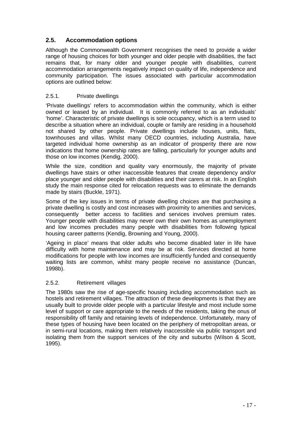### **2.5. Accommodation options**

Although the Commonwealth Government recognises the need to provide a wider range of housing choices for both younger and older people with disabilities, the fact remains that, for many older and younger people with disabilities, current accommodation arrangements negatively impact on quality of life, independence and community participation. The issues associated with particular accommodation options are outlined below:

### 2.5.1. Private dwellings

'Private dwellings' refers to accommodation within the community, which is either owned or leased by an individual. It is commonly referred to as an individuals' 'home'. Characteristic of private dwellings is sole occupancy, which is a term used to describe a situation where an individual, couple or family are residing in a household not shared by other people. Private dwellings include houses, units, flats, townhouses and villas. Whilst many OECD countries, including Australia, have targeted individual home ownership as an indicator of prosperity there are now indications that home ownership rates are falling, particularly for younger adults and those on low incomes (Kendig, 2000).

While the size, condition and quality vary enormously, the majority of private dwellings have stairs or other inaccessible features that create dependency and/or place younger and older people with disabilities and their carers at risk. In an English study the main response cited for relocation requests was to eliminate the demands made by stairs (Buckle, 1971).

Some of the key issues in terms of private dwelling choices are that purchasing a private dwelling is costly and cost increases with proximity to amenities and services, consequently better access to facilities and services involves premium rates. Younger people with disabilities may never own their own homes as unemployment and low incomes precludes many people with disabilities from following typical housing career patterns (Kendig, Browning and Young, 2000).

'Ageing in place' means that older adults who become disabled later in life have difficulty with home maintenance and may be at risk. Services directed at home modifications for people with low incomes are insufficiently funded and consequently waiting lists are common, whilst many people receive no assistance (Duncan, 1998b).

### 2.5.2. Retirement villages

The 1980s saw the rise of age-specific housing including accommodation such as hostels and retirement villages. The attraction of these developments is that they are usually built to provide older people with a particular lifestyle and most include some level of support or care appropriate to the needs of the residents, taking the onus of responsibility off family and retaining levels of independence. Unfortunately, many of these types of housing have been located on the periphery of metropolitan areas, or in semi-rural locations, making them relatively inaccessible via public transport and isolating them from the support services of the city and suburbs (Wilson & Scott, 1995).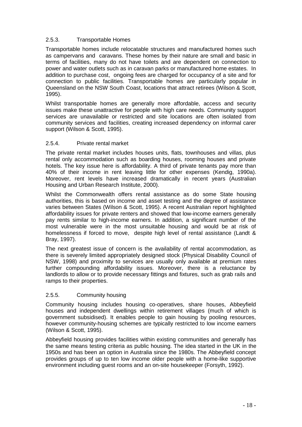### 2.5.3. Transportable Homes

Transportable homes include relocatable structures and manufactured homes such as campervans and caravans. These homes by their nature are small and basic in terms of facilities, many do not have toilets and are dependent on connection to power and water outlets such as in caravan parks or manufactured home estates. In addition to purchase cost, ongoing fees are charged for occupancy of a site and for connection to public facilities. Transportable homes are particularly popular in Queensland on the NSW South Coast, locations that attract retirees (Wilson & Scott, 1995).

Whilst transportable homes are generally more affordable, access and security issues make these unattractive for people with high care needs. Community support services are unavailable or restricted and site locations are often isolated from community services and facilities, creating increased dependency on informal carer support (Wilson & Scott, 1995).

### 2.5.4. Private rental market

The private rental market includes houses units, flats, townhouses and villas, plus rental only accommodation such as boarding houses, rooming houses and private hotels. The key issue here is affordability. A third of private tenants pay more than 40% of their income in rent leaving little for other expenses (Kendig, 1990a). Moreover, rent levels have increased dramatically in recent years (Australian Housing and Urban Research Institute, 2000).

Whilst the Commonwealth offers rental assistance as do some State housing authorities, this is based on income and asset testing and the degree of assistance varies between States (Wilson & Scott, 1995). A recent Australian report highlighted affordability issues for private renters and showed that low-income earners generally pay rents similar to high-income earners. In addition, a significant number of the most vulnerable were in the most unsuitable housing and would be at risk of homelessness if forced to move, despite high level of rental assistance (Landt & Bray, 1997).

The next greatest issue of concern is the availability of rental accommodation, as there is severely limited appropriately designed stock (Physical Disability Council of NSW, 1998) and proximity to services are usually only available at premium rates further compounding affordability issues. Moreover, there is a reluctance by landlords to allow or to provide necessary fittings and fixtures, such as grab rails and ramps to their properties.

### 2.5.5. Community housing

Community housing includes housing co-operatives, share houses, Abbeyfield houses and independent dwellings within retirement villages (much of which is government subsidised). It enables people to gain housing by pooling resources, however community-housing schemes are typically restricted to low income earners (Wilson & Scott, 1995).

Abbeyfield housing provides facilities within existing communities and generally has the same means testing criteria as public housing. The idea started in the UK in the 1950s and has been an option in Australia since the 1980s. The Abbeyfield concept provides groups of up to ten low income older people with a home-like supportive environment including guest rooms and an on-site housekeeper (Forsyth, 1992).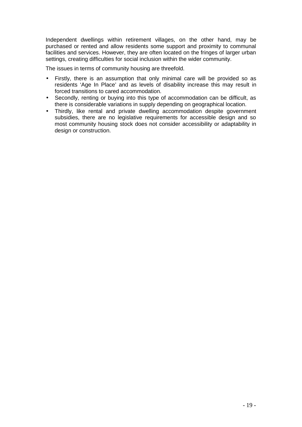Independent dwellings within retirement villages, on the other hand, may be purchased or rented and allow residents some support and proximity to communal facilities and services. However, they are often located on the fringes of larger urban settings, creating difficulties for social inclusion within the wider community.

The issues in terms of community housing are threefold.

- Firstly, there is an assumption that only minimal care will be provided so as residents 'Age In Place' and as levels of disability increase this may result in forced transitions to cared accommodation.
- Secondly, renting or buying into this type of accommodation can be difficult, as there is considerable variations in supply depending on geographical location.
- Thirdly, like rental and private dwelling accommodation despite government subsidies, there are no legislative requirements for accessible design and so most community housing stock does not consider accessibility or adaptability in design or construction.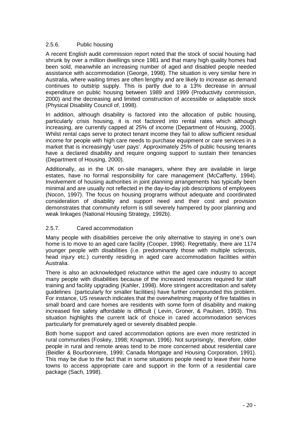### 2.5.6. Public housing

A recent English audit commission report noted that the stock of social housing had shrunk by over a million dwellings since 1981 and that many high quality homes had been sold, meanwhile an increasing number of aged and disabled people needed assistance with accommodation (George, 1998). The situation is very similar here in Australia, where waiting times are often lengthy and are likely to increase as demand continues to outstrip supply. This is partly due to a 13% decrease in annual expenditure on public housing between 1989 and 1999 (Productivity commission, 2000) and the decreasing and limited construction of accessible or adaptable stock (Physical Disability Council of, 1998).

In addition, although disability is factored into the allocation of public housing, particularly crisis housing, it is not factored into rental rates which although increasing, are currently capped at 25% of income (Department of Housing, 2000). Whilst rental caps serve to protect tenant income they fail to allow sufficient residual income for people with high care needs to purchase equipment or care services in a market that is increasingly 'user pays'. Approximately 25% of public housing tenants have a declared disability and require ongoing support to sustain their tenancies (Department of Housing, 2000).

Additionally, as in the UK on-site managers, where they are available in large estates, have no formal responsibility for care management (McCafferty, 1994). Involvement of housing authorities in joint planning arrangements has typically been minimal and are usually not reflected in the day-to-day job descriptions of employees (Nocon, 1997). The focus on housing programs without adequate and coordinated consideration of disability and support need and their cost and provision demonstrates that community reform is still severely hampered by poor planning and weak linkages (National Housing Strategy, 1992b).

### 2.5.7. Cared accommodation

Many people with disabilities perceive the only alternative to staying in one's own home is to move to an aged care facility (Cooper, 1996). Regrettably, there are 1174 younger people with disabilities (i.e. predominantly those with multiple sclerosis, head injury etc.) currently residing in aged care accommodation facilities within Australia.

There is also an acknowledged reluctance within the aged care industry to accept many people with disabilities because of the increased resources required for staff training and facility upgrading (Kahler, 1998). More stringent accreditation and safety guidelines (particularly for smaller facilities) have further compounded this problem. For instance, US research indicates that the overwhelming majority of fire fatalities in small board and care homes are residents with some form of disability and making increased fire safety affordable is difficult ( Levin, Groner, & Paulsen, 1993). This situation highlights the current lack of choice in cared accommodation services particularly for prematurely aged or severely disabled people.

Both home support and cared accommodation options are even more restricted in rural communities (Foskey, 1998; Knapman, 1996). Not surprisingly, therefore, older people in rural and remote areas tend to be more concerned about residential care (Beidler & Bourbonniere, 1999; Canada Mortgage and Housing Corporation, 1991). This may be due to the fact that in some situations people need to leave their home towns to access appropriate care and support in the form of a residential care package (Sach, 1998).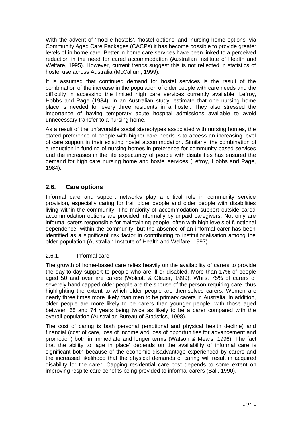With the advent of 'mobile hostels', 'hostel options' and 'nursing home options' via Community Aged Care Packages (CACPs) it has become possible to provide greater levels of in-home care. Better in-home care services have been linked to a perceived reduction in the need for cared accommodation (Australian Institute of Health and Welfare, 1995). However, current trends suggest this is not reflected in statistics of hostel use across Australia (McCallum, 1999).

It is assumed that continued demand for hostel services is the result of the combination of the increase in the population of older people with care needs and the difficulty in accessing the limited high care services currently available. Lefroy, Hobbs and Page (1984), in an Australian study, estimate that one nursing home place is needed for every three residents in a hostel. They also stressed the importance of having temporary acute hospital admissions available to avoid unnecessary transfer to a nursing home.

As a result of the unfavorable social stereotypes associated with nursing homes, the stated preference of people with higher care needs is to access an increasing level of care support in their existing hostel accommodation. Similarly, the combination of a reduction in funding of nursing homes in preference for community-based services and the increases in the life expectancy of people with disabilities has ensured the demand for high care nursing home and hostel services (Lefroy, Hobbs and Page, 1984).

### **2.6. Care options**

Informal care and support networks play a critical role in community service provision, especially caring for frail older people and older people with disabilities living within the community. The majority of accommodation support outside cared accommodation options are provided informally by unpaid caregivers. Not only are informal carers responsible for maintaining people, often with high levels of functional dependence, within the community, but the absence of an informal carer has been identified as a significant risk factor in contributing to institutionalisation among the older population (Australian Institute of Health and Welfare, 1997).

### 2.6.1. Informal care

The growth of home-based care relies heavily on the availability of carers to provide the day-to-day support to people who are ill or disabled. More than 17% of people aged 50 and over are carers (Wolcott & Glezer, 1999). Whilst 75% of carers of severely handicapped older people are the spouse of the person requiring care, thus highlighting the extent to which older people are themselves carers. Women are nearly three times more likely than men to be primary carers in Australia. In addition, older people are more likely to be carers than younger people, with those aged between 65 and 74 years being twice as likely to be a carer compared with the overall population (Australian Bureau of Statistics, 1998).

The cost of caring is both personal (emotional and physical health decline) and financial (cost of care, loss of income and loss of opportunities for advancement and promotion) both in immediate and longer terms (Watson & Mears, 1996). The fact that the ability to 'age in place' depends on the availability of informal care is significant both because of the economic disadvantage experienced by carers and the increased likelihood that the physical demands of caring will result in acquired disability for the carer. Capping residential care cost depends to some extent on improving respite care benefits being provided to informal carers (Ball, 1990).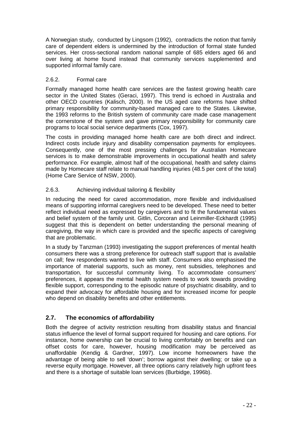A Norwegian study, conducted by Lingsom (1992), contradicts the notion that family care of dependent elders is undermined by the introduction of formal state funded services. Her cross-sectional random national sample of 685 elders aged 66 and over living at home found instead that community services supplemented and supported informal family care.

### 2.6.2. Formal care

Formally managed home health care services are the fastest growing health care sector in the United States (Geraci, 1997). This trend is echoed in Australia and other OECD countries (Kalisch, 2000). In the US aged care reforms have shifted primary responsibility for community-based managed care to the States. Likewise, the 1993 reforms to the British system of community care made case management the cornerstone of the system and gave primary responsibility for community care programs to local social service departments (Cox, 1997).

The costs in providing managed home health care are both direct and indirect. Indirect costs include injury and disability compensation payments for employees. Consequently, one of the most pressing challenges for Australian Homecare services is to make demonstrable improvements in occupational health and safety performance. For example, almost half of the occupational, health and safety claims made by Homecare staff relate to manual handling injuries (48.5 per cent of the total) (Home Care Service of NSW, 2000).

### 2.6.3. Achieving individual tailoring & flexibility

In reducing the need for cared accommodation, more flexible and individualised means of supporting informal caregivers need to be developed. These need to better reflect individual need as expressed by caregivers and to fit the fundamental values and belief system of the family unit. Gitlin, Corcoran and Leinmiller-Eckhardt (1995) suggest that this is dependent on better understanding the personal meaning of caregiving, the way in which care is provided and the specific aspects of caregiving that are problematic.

In a study by Tanzman (1993) investigating the support preferences of mental health consumers there was a strong preference for outreach staff support that is available on call; few respondents wanted to live with staff. Consumers also emphasised the importance of material supports, such as money, rent subsidies, telephones and transportation, for successful community living. To accommodate consumers' preferences, it appears the mental health system needs to work towards providing flexible support, corresponding to the episodic nature of psychiatric disability, and to expand their advocacy for affordable housing and for increased income for people who depend on disability benefits and other entitlements.

### **2.7. The economics of affordability**

Both the degree of activity restriction resulting from disability status and financial status influence the level of formal support required for housing and care options. For instance, home ownership can be crucial to living comfortably on benefits and can offset costs for care, however, housing modification may be perceived as unaffordable (Kendig & Gardner, 1997). Low income homeowners have the advantage of being able to sell 'down'; borrow against their dwelling; or take up a reverse equity mortgage. However, all three options carry relatively high upfront fees and there is a shortage of suitable loan services (Burbidge, 1996b).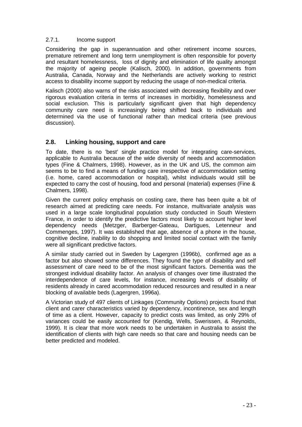### 2.7.1. Income support

Considering the gap in superannuation and other retirement income sources, premature retirement and long term unemployment is often responsible for poverty and resultant homelessness, loss of dignity and elimination of life quality amongst the majority of ageing people (Kalisch, 2000). In addition, governments from Australia, Canada, Norway and the Netherlands are actively working to restrict access to disability income support by reducing the usage of non-medical criteria.

Kalisch (2000) also warns of the risks associated with decreasing flexibility and over rigorous evaluation criteria in terms of increases in morbidity, homelessness and social exclusion. This is particularly significant given that high dependency community care need is increasingly being shifted back to individuals and determined via the use of functional rather than medical criteria (see previous discussion).

### **2.8. Linking housing, support and care**

To date, there is no 'best' single practice model for integrating care-services, applicable to Australia because of the wide diversity of needs and accommodation types (Fine & Chalmers, 1998). However, as in the UK and US, the common aim seems to be to find a means of funding care irrespective of accommodation setting (i.e. home, cared accommodation or hospital), whilst individuals would still be expected to carry the cost of housing, food and personal (material) expenses (Fine & Chalmers, 1998).

Given the current policy emphasis on costing care, there has been quite a bit of research aimed at predicting care needs. For instance, multivariate analysis was used in a large scale longitudinal population study conducted in South Western France, in order to identify the predictive factors most likely to account higher level dependency needs (Metzger, Barberger-Gateau, Dartigues, Letenneur and Commenges, 1997). It was established that age, absence of a phone in the house, cognitive decline, inability to do shopping and limited social contact with the family were all significant predictive factors.

A similar study carried out in Sweden by Lagergren (1996b), confirmed age as a factor but also showed some differences. They found the type of disability and self assessment of care need to be of the most significant factors. Dementia was the strongest individual disability factor. An analysis of changes over time illustrated the interdependence of care levels, for instance, increasing levels of disability of residents already in cared accommodation reduced resources and resulted in a near blocking of available beds (Lagergren, 1996a).

A Victorian study of 497 clients of Linkages (Community Options) projects found that client and carer characteristics varied by dependency, incontinence, sex and length of time as a client. However, capacity to predict costs was limited, as only 29% of variances could be easily accounted for (Kendig, Wells, Swerissen, & Reynolds, 1999). It is clear that more work needs to be undertaken in Australia to assist the identification of clients with high care needs so that care and housing needs can be better predicted and modeled.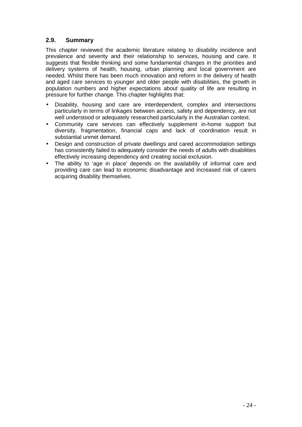### **2.9. Summary**

This chapter reviewed the academic literature relating to disability incidence and prevalence and severity and their relationship to services, housing and care. It suggests that flexible thinking and some fundamental changes in the priorities and delivery systems of health, housing, urban planning and local government are needed. Whilst there has been much innovation and reform in the delivery of health and aged care services to younger and older people with disabilities, the growth in population numbers and higher expectations about quality of life are resulting in pressure for further change. This chapter highlights that:

- Disability, housing and care are interdependent, complex and intersections particularly in terms of linkages between access, safety and dependency, are not well understood or adequately researched particularly in the Australian context.
- Community care services can effectively supplement in-home support but diversity, fragmentation, financial caps and lack of coordination result in substantial unmet demand.
- Design and construction of private dwellings and cared accommodation settings has consistently failed to adequately consider the needs of adults with disabilities effectively increasing dependency and creating social exclusion.
- The ability to 'age in place' depends on the availability of informal care and providing care can lead to economic disadvantage and increased risk of carers acquiring disability themselves.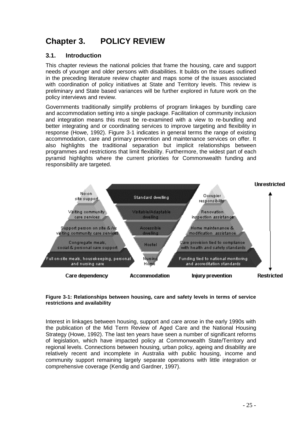# **Chapter 3. POLICY REVIEW**

### **3.1. Introduction**

This chapter reviews the national policies that frame the housing, care and support needs of younger and older persons with disabilities. It builds on the issues outlined in the preceding literature review chapter and maps some of the issues associated with coordination of policy initiatives at State and Territory levels. This review is preliminary and State based variances will be further explored in future work on the policy interviews and review.

Governments traditionally simplify problems of program linkages by bundling care and accommodation setting into a single package. Facilitation of community inclusion and integration means this must be re-examined with a view to re-bundling and better integrating and or coordinating services to improve targeting and flexibility in response (Howe, 1992). Figure 3-1 indicates in general terms the range of existing accommodation, care and primary prevention and maintenance services on offer. It also highlights the traditional separation but implicit relationships between programmes and restrictions that limit flexibility. Furthermore, the widest part of each pyramid highlights where the current priorities for Commonwealth funding and responsibility are targeted.



### **Figure 3-1: Relationships between housing, care and safety levels in terms of service restrictions and availability**

Interest in linkages between housing, support and care arose in the early 1990s with the publication of the Mid Term Review of Aged Care and the National Housing Strategy (Howe, 1992). The last ten years have seen a number of significant reforms of legislation, which have impacted policy at Commonwealth State/Territory and regional levels. Connections between housing, urban policy, ageing and disability are relatively recent and incomplete in Australia with public housing, income and community support remaining largely separate operations with little integration or comprehensive coverage (Kendig and Gardner, 1997).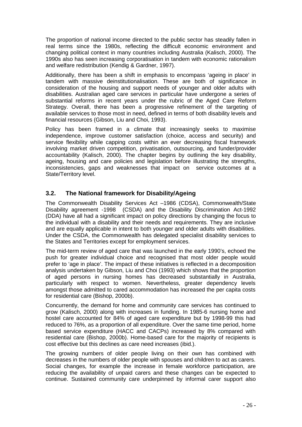The proportion of national income directed to the public sector has steadily fallen in real terms since the 1980s, reflecting the difficult economic environment and changing political context in many countries including Australia (Kalisch, 2000). The 1990s also has seen increasing corporatisation in tandem with economic rationalism and welfare redistribution (Kendig & Gardner, 1997).

Additionally, there has been a shift in emphasis to encompass 'ageing in place' in tandem with massive deinstitutionalisation. These are both of significance in consideration of the housing and support needs of younger and older adults with disabilities. Australian aged care services in particular have undergone a series of substantial reforms in recent years under the rubric of the Aged Care Reform Strategy. Overall, there has been a progressive refinement of the targeting of available services to those most in need, defined in terms of both disability levels and financial resources (Gibson, Liu and Choi, 1993).

Policy has been framed in a climate that increasingly seeks to maximise independence, improve customer satisfaction (choice, access and security) and service flexibility while capping costs within an ever decreasing fiscal framework involving market driven competition, privatisation, outsourcing, and funder/provider accountability (Kalisch, 2000). The chapter begins by outlining the key disability, ageing, housing and care policies and legislation before illustrating the strengths, inconsistencies, gaps and weaknesses that impact on service outcomes at a State/Territory level.

### **3.2. The National framework for Disability/Ageing**

The Commonwealth Disability Services Act –1986 (CDSA), Commonwealth/State Disability agreement -1998 (CSDA) and the Disability Discrimination Act-1992 (DDA) have all had a significant impact on policy directions by changing the focus to the individual with a disability and their needs and requirements. They are inclusive and are equally applicable in intent to both younger and older adults with disabilities. Under the CSDA, the Commonwealth has delegated specialist disability services to the States and Territories except for employment services.

The mid-term review of aged care that was launched in the early 1990's, echoed the push for greater individual choice and recognised that most older people would prefer to 'age in place'. The impact of these initiatives is reflected in a decomposition analysis undertaken by Gibson, Liu and Choi (1993) which shows that the proportion of aged persons in nursing homes has decreased substantially in Australia, particularly with respect to women. Nevertheless, greater dependency levels amongst those admitted to cared accommodation has increased the per capita costs for residential care (Bishop, 2000b).

Concurrently, the demand for home and community care services has continued to grow (Kalisch, 2000) along with increases in funding. In 1985-6 nursing home and hostel care accounted for 84% of aged care expenditure but by 1998-99 this had reduced to 76%, as a proportion of all expenditure. Over the same time period, home based service expenditure (HACC and CACPs) increased by 8% compared with residential care (Bishop, 2000b). Home-based care for the majority of recipients is cost effective but this declines as care need increases (ibid.).

The growing numbers of older people living on their own has combined with decreases in the numbers of older people with spouses and children to act as carers. Social changes, for example the increase in female workforce participation, are reducing the availability of unpaid carers and these changes can be expected to continue. Sustained community care underpinned by informal carer support also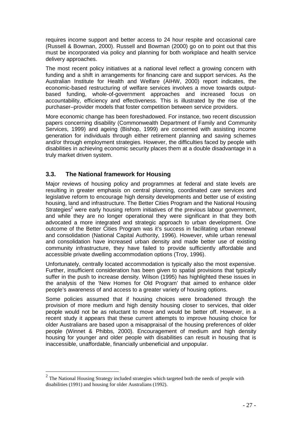requires income support and better access to 24 hour respite and occasional care (Russell & Bowman, 2000). Russell and Bowman (2000) go on to point out that this must be incorporated via policy and planning for both workplace and health service delivery approaches.

The most recent policy initiatives at a national level reflect a growing concern with funding and a shift in arrangements for financing care and support services. As the Australian Institute for Health and Welfare (AIHW, 2000) report indicates, the economic-based restructuring of welfare services involves a move towards outputbased funding, whole-of-government approaches and increased focus on accountability, efficiency and effectiveness. This is illustrated by the rise of the purchaser–provider models that foster competition between service providers.

More economic change has been foreshadowed. For instance, two recent discussion papers concerning disability (Commonwealth Department of Family and Community Services, 1999) and ageing (Bishop, 1999) are concerned with assisting income generation for individuals through either retirement planning and saving schemes and/or through employment strategies. However, the difficulties faced by people with disabilities in achieving economic security places them at a double disadvantage in a truly market driven system.

### **3.3. The National framework for Housing**

Major reviews of housing policy and programmes at federal and state levels are resulting in greater emphasis on central planning, coordinated care services and legislative reform to encourage high density developments and better use of existing housing, land and infrastructure. The Better Cities Program and the National Housing Strategies<sup>2</sup> were early housing reform initiatives of the previous labour government, and while they are no longer operational they were significant in that they both advocated a more integrated and strategic approach to urban development. One outcome of the Better Cities Program was it's success in facilitating urban renewal and consolidation (National Capital Authority, 1996). However, while urban renewal and consolidation have increased urban density and made better use of existing community infrastructure, they have failed to provide sufficiently affordable and accessible private dwelling accommodation options (Troy, 1996).

Unfortunately, centrally located accommodation is typically also the most expensive. Further, insufficient consideration has been given to spatial provisions that typically suffer in the push to increase density. Wilson (1995) has highlighted these issues in the analysis of the 'New Homes for Old Program' that aimed to enhance older people's awareness of and access to a greater variety of housing options.

Some policies assumed that if housing choices were broadened through the provision of more medium and high density housing closer to services, that older people would not be as reluctant to move and would be better off. However, in a recent study it appears that these current attempts to improve housing choice for older Australians are based upon a misappraisal of the housing preferences of older people (Winnet & Phibbs, 2000). Encouragement of medium and high density housing for younger and older people with disabilities can result in housing that is inaccessible, unaffordable, financially unbeneficial and unpopular.

-

<sup>&</sup>lt;sup>2</sup> The National Housing Strategy included strategies which targeted both the needs of people with disabilities (1991) and housing for older Australians (1992).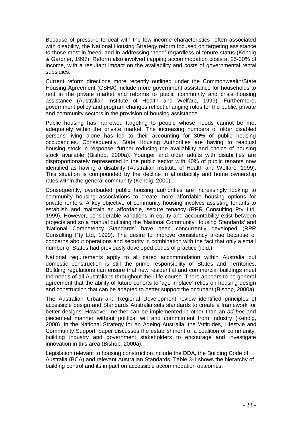Because of pressure to deal with the low income characteristics often associated with disability, the National Housing Strategy reform focused on targeting assistance to those most in 'need' and in addressing 'need' regardless of tenure status (Kendig & Gardner, 1997). Reform also involved capping accommodation costs at 25-30% of income, with a resultant impact on the availability and costs of governmental rental subsidies.

Current reform directions more recently outlined under the Commonwealth/State Housing Agreement (CSHA) include more government assistance for households to rent in the private market and reforms to public community and crisis housing assistance (Australian Institute of Health and Welfare, 1999). Furthermore, government policy and program changes reflect changing roles for the public, private and community sectors in the provision of housing assistance.

Public housing has narrowed targeting to people whose needs cannot be met adequately within the private market. The increasing numbers of older disabled persons living alone has led to their accounting for 30% of public housing occupancies. Consequently, State Housing Authorities are having to readjust housing stock in response, further reducing the availability and choice of housing stock available (Bishop, 2000a). Younger and older adults with disabilities are disproportionately represented in the public sector with 40% of public tenants now identified as having a disability (Australian Institute of Health and Welfare, 1999). This situation is compounded by the decline in affordability and home ownership rates within the general community (Kendig, 2000).

Consequently, overloaded public housing authorities are increasingly looking to community housing associations to create more affordable housing options for private renters. A key objective of community housing involves assisting tenants to establish and maintain an affordable, secure tenancy (RPR Consulting Pty Ltd, 1999). However, considerable variations in equity and accountability exist between projects and so a manual outlining the 'National Community Housing Standards' and 'National Competency Standards' have been concurrently developed (RPR Consulting Pty Ltd, 1999). The desire to improve consistency arose because of concerns about operations and security in combination with the fact that only a small number of States had previously developed codes of practice (ibid.).

National requirements apply to all cared accommodation within Australia but domestic construction is still the prime responsibility of States and Territories. Building regulations can ensure that new residential and commercial buildings meet the needs of all Australians throughout their life course. There appears to be general agreement that the ability of future cohorts to 'age in place' relies on housing design and construction that can be adapted to better support the occupant (Bishop, 2000a).

The Australian Urban and Regional Development review identified principles of accessible design and Standards Australia sets standards to create a framework for better designs. However, neither can be implemented in other than an ad hoc and piecemeal manner without political will and commitment from industry (Kendig, 2000). In the National Strategy for an Ageing Australia, the 'Attitudes, Lifestyle and Community Support' paper discusses the establishment of a coalition of community, building industry and government stakeholders to encourage and investigate innovation in this area (Bishop, 2000a).

Legislation relevant to housing construction include the DDA, the Building Code of Australia (BCA) and relevant Australian Standards. Table 3-1 shows the hierarchy of building control and its impact on accessible accommodation outcomes.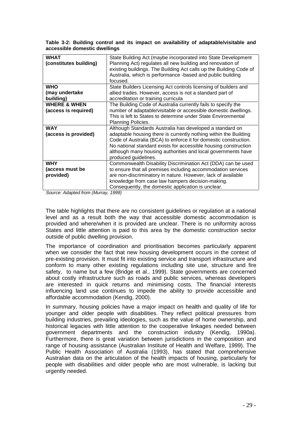|                               |  |  |  |  | Table 3-2: Building control and its impact on availability of adaptable/visitable and |  |
|-------------------------------|--|--|--|--|---------------------------------------------------------------------------------------|--|
| accessible domestic dwellings |  |  |  |  |                                                                                       |  |

| State Building Act (maybe incorporated into State Development<br>Planning Act) regulates all new building and renovation of<br>existing buildings. The Building Act calls up the Building Code of<br>Australia, which is performance -based and public building<br>focused. |
|-----------------------------------------------------------------------------------------------------------------------------------------------------------------------------------------------------------------------------------------------------------------------------|
| State Builders Licensing Act controls licensing of builders and                                                                                                                                                                                                             |
| allied trades. However, access is not a standard part of                                                                                                                                                                                                                    |
| accreditation or training curricula                                                                                                                                                                                                                                         |
| The Building Code of Australia currently fails to specify the                                                                                                                                                                                                               |
| number of adaptable/visitable or accessible domestic dwellings.                                                                                                                                                                                                             |
| This is left to States to determine under State Environmental                                                                                                                                                                                                               |
| Planning Policies.                                                                                                                                                                                                                                                          |
| Although Standards Australia has developed a standard on                                                                                                                                                                                                                    |
| adaptable housing there is currently nothing within the Building                                                                                                                                                                                                            |
| Code of Australia (BCA) to enforce it for domestic construction.                                                                                                                                                                                                            |
| No national standard exists for accessible housing construction                                                                                                                                                                                                             |
| although many housing authorities and local governments have                                                                                                                                                                                                                |
| produced guidelines.                                                                                                                                                                                                                                                        |
| Commonwealth Disability Discrimination Act (DDA) can be used                                                                                                                                                                                                                |
| to ensure that all premises including accommodation services                                                                                                                                                                                                                |
| are non-discriminatory in nature. However, lack of available                                                                                                                                                                                                                |
| knowledge from case law hampers decision-making.                                                                                                                                                                                                                            |
| Consequently, the domestic application is unclear.                                                                                                                                                                                                                          |
|                                                                                                                                                                                                                                                                             |

Source: Adapted from (Murray, 1999)

The table highlights that there are no consistent guidelines or regulation at a national level and as a result both the way that accessible domestic accommodation is provided and where/when it is provided are unclear. There is no uniformity across States and little attention is paid to this area by the domestic construction sector outside of public dwelling provision.

The importance of coordination and prioritisation becomes particularly apparent when we consider the fact that new housing development occurs in the context of pre-existing provision. It must fit into existing service and transport infrastructure and conform to many other existing regulations including site use, structure and fire safety, to name but a few (Bridge et al., 1999). State governments are concerned about costly infrastructure such as roads and public services, whereas developers are interested in quick returns and minimising costs. The financial interests influencing land use continues to impede the ability to provide accessible and affordable accommodation (Kendig, 2000).

In summary, housing policies have a major impact on health and quality of life for younger and older people with disabilities. They reflect political pressures from building industries, prevailing ideologies, such as the value of home ownership, and historical legacies with little attention to the cooperative linkages needed between government departments and the construction industry (Kendig, 1990a). Furthermore, there is great variation between jurisdictions in the composition and range of housing assistance (Australian Institute of Health and Welfare, 1999). The Public Health Association of Australia (1993), has stated that comprehensive Australian data on the articulation of the health impacts of housing, particularly for people with disabilities and older people who are most vulnerable, is lacking but urgently needed.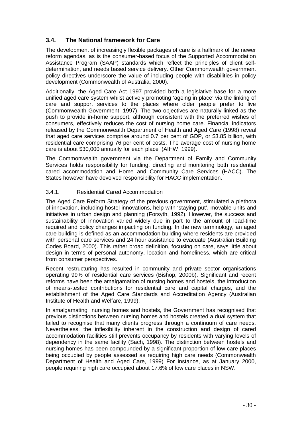### **3.4. The National framework for Care**

The development of increasingly flexible packages of care is a hallmark of the newer reform agendas, as is the consumer-based focus of the Supported Accommodation Assistance Program (SAAP) standards which reflect the principles of client selfdetermination, and needs based service delivery. Other Commonwealth government policy directives underscore the value of including people with disabilities in policy development (Commonwealth of Australia, 2000).

Additionally, the Aged Care Act 1997 provided both a legislative base for a more unified aged care system whilst actively promoting 'ageing in place' via the linking of care and support services to the places where older people prefer to live (Commonwealth Government, 1997). The two objectives are naturally linked as the push to provide in-home support, although consistent with the preferred wishes of consumers, effectively reduces the cost of nursing home care. Financial indicators released by the Commonwealth Department of Health and Aged Care (1998) reveal that aged care services comprise around 0.7 per cent of GDP, or \$3.85 billion, with residential care comprising 76 per cent of costs. The average cost of nursing home care is about \$30,000 annually for each place (AIHW, 1999).

The Commonwealth government via the Department of Family and Community Services holds responsibility for funding, directing and monitoring both residential cared accommodation and Home and Community Care Services (HACC). The States however have devolved responsibility for HACC implementation.

### 3.4.1. Residential Cared Accommodation

The Aged Care Reform Strategy of the previous government, stimulated a plethora of innovation, including hostel innovations, help with 'staying put', movable units and initiatives in urban design and planning (Forsyth, 1992). However, the success and sustainability of innovation varied widely due in part to the amount of lead-time required and policy changes impacting on funding. In the new terminology, an aged care building is defined as an accommodation building where residents are provided with personal care services and 24 hour assistance to evacuate (Australian Building Codes Board, 2000). This rather broad definition, focusing on care, says little about design in terms of personal autonomy, location and homeliness, which are critical from consumer perspectives.

Recent restructuring has resulted in community and private sector organisations operating 99% of residential care services (Bishop, 2000b). Significant and recent reforms have been the amalgamation of nursing homes and hostels, the introduction of means-tested contributions for residential care and capital charges, and the establishment of the Aged Care Standards and Accreditation Agency (Australian Institute of Health and Welfare, 1999).

In amalgamating nursing homes and hostels, the Government has recognised that previous distinctions between nursing homes and hostels created a dual system that failed to recognise that many clients progress through a continuum of care needs. Nevertheless, the inflexibility inherent in the construction and design of cared accommodation facilities still prevents occupancy by residents with varying levels of dependency in the same facility (Sach, 1998). The distinction between hostels and nursing homes has been compounded by a significant proportion of low care places being occupied by people assessed as requiring high care needs (Commonwealth Department of Health and Aged Care, 1999) For instance, as at January 2000, people requiring high care occupied about 17.6% of low care places in NSW.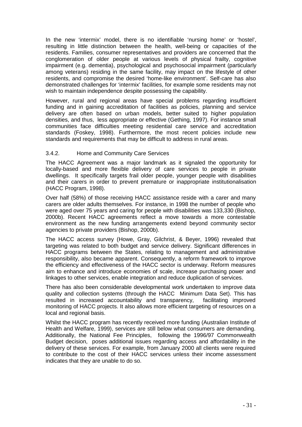In the new 'intermix' model, there is no identifiable 'nursing home' or 'hostel', resulting in little distinction between the health, well-being or capacities of the residents. Families, consumer representatives and providers are concerned that the conglomeration of older people at various levels of physical frailty, cognitive impairment (e.g. dementia), psychological and psychosocial impairment (particularly among veterans) residing in the same facility, may impact on the lifestyle of other residents, and compromise the desired 'home-like environment'. Self-care has also demonstrated challenges for 'intermix' facilities, for example some residents may not wish to maintain independence despite possessing the capability.

However, rural and regional areas have special problems regarding insufficient funding and in gaining accreditation of facilities as policies, planning and service delivery are often based on urban models, better suited to higher population densities, and thus, less appropriate or effective (Gething, 1997). For instance small communities face difficulties meeting residential care service and accreditation standards (Foskey, 1998). Furthermore, the most recent policies include new standards and requirements that may be difficult to address in rural areas.

### 3.4.2. Home and Community Care Services

The HACC Agreement was a major landmark as it signaled the opportunity for locally-based and more flexible delivery of care services to people in private dwellings. It specifically targets frail older people, younger people with disabilities and their carers in order to prevent premature or inappropriate institutionalisation (HACC Program, 1998).

Over half (58%) of those receiving HACC assistance reside with a carer and many carers are older adults themselves. For instance, in 1998 the number of people who were aged over 75 years and caring for people with disabilities was 133,330 (Bishop, 2000b). Recent HACC agreements reflect a move towards a more contestable environment as the new funding arrangements extend beyond community sector agencies to private providers (Bishop, 2000b).

The HACC access survey (Howe, Gray, Gilchrist, & Beyer, 1996) revealed that targeting was related to both budget and service delivery. Significant differences in HACC programs between the States, relating to management and administrative responsibility, also became apparent. Consequently, a reform framework to improve the efficiency and effectiveness of the HACC sector is underway. Reform measures aim to enhance and introduce economies of scale, increase purchasing power and linkages to other services, enable integration and reduce duplication of services.

There has also been considerable developmental work undertaken to improve data quality and collection systems (through the HACC Minimum Data Set). This has resulted in increased accountability and transparency, facilitating improved monitoring of HACC projects. It also allows more efficient targeting of resources on a local and regional basis.

Whilst the HACC program has recently received more funding (Australian Institute of Health and Welfare, 1999), services are still below what consumers are demanding. Additionally, the National Fee Principles, following the 1996/97 Commonwealth Budget decision, poses additional issues regarding access and affordability in the delivery of these services. For example, from January 2000 all clients were required to contribute to the cost of their HACC services unless their income assessment indicates that they are unable to do so.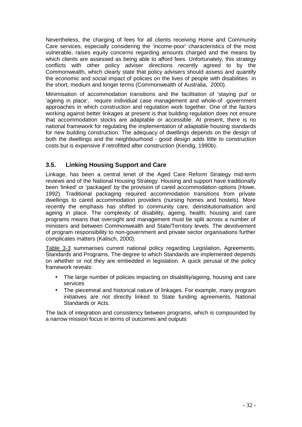Nevertheless, the charging of fees for all clients receiving Home and Community Care services, especially considering the 'income-poor' characteristics of the most vulnerable, raises equity concerns regarding amounts charged and the means by which clients are assessed as being able to afford fees. Unfortunately, this strategy conflicts with other policy adviser directions recently agreed to by the Commonwealth, which clearly state that policy advisers should assess and quantify the economic and social impact of policies on the lives of people with disabilities in the short, medium and longer terms (Commonwealth of Australia, 2000).

Minimisation of accommodation transitions and the facilitation of 'staying put' or 'ageing in place', require individual case management and whole-of -government approaches in which construction and regulation work together. One of the factors working against better linkages at present is that building regulation does not ensure that accommodation stocks are adaptable or accessible. At present, there is no national framework for regulating the implementation of adaptable housing standards for new building construction. The adequacy of dwellings depends on the design of both the dwellings and the neighbourhood - good design adds little to construction costs but is expensive if retrofitted after construction (Kendig, 1990b).

### **3.5. Linking Housing Support and Care**

Linkage, has been a central tenet of the Aged Care Reform Strategy mid-term reviews and of the National Housing Strategy. Housing and support have traditionally been 'linked' or 'packaged' by the provision of cared accommodation options (Howe, 1992). Traditional packaging required accommodation transitions from private dwellings to cared accommodation providers (nursing homes and hostels). More recently the emphasis has shifted to community care, deinstitutionalisation and ageing in place. The complexity of disability, ageing, health, housing and care programs means that oversight and management must be split across a number of ministers and between Commonwealth and State/Territory levels. The devolvement of program responsibility to non-government and private sector organisations further complicates matters (Kalisch, 2000).

Table 3-3 summarises current national policy regarding Legislation, Agreements, Standards and Programs. The degree to which Standards are implemented depends on whether or not they are embedded in legislation. A quick perusal of the policy framework reveals:

- The large number of policies impacting on disability/ageing, housing and care services
- The piecemeal and historical nature of linkages. For example, many program initiatives are not directly linked to State funding agreements, National Standards or Acts.

The lack of integration and consistency between programs, which is compounded by a narrow mission focus in terms of outcomes and outputs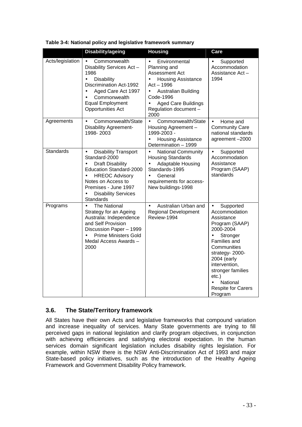|                  | <b>Disability/ageing</b>                                                                                                                                                                                                                                                 | <b>Housing</b>                                                                                                                                                                                                                       | Care                                                                                                                                                                                                                                                                                              |
|------------------|--------------------------------------------------------------------------------------------------------------------------------------------------------------------------------------------------------------------------------------------------------------------------|--------------------------------------------------------------------------------------------------------------------------------------------------------------------------------------------------------------------------------------|---------------------------------------------------------------------------------------------------------------------------------------------------------------------------------------------------------------------------------------------------------------------------------------------------|
| Acts/legislation | Commonwealth<br>Disability Services Act-<br>1986<br>$\bullet$<br><b>Disability</b><br><b>Discrimination Act-1992</b><br>Aged Care Act 1997<br>$\bullet$<br>Commonwealth<br><b>Equal Employment</b><br><b>Opportunities Act</b>                                           | Environmental<br>$\bullet$<br>Planning and<br>Assessment Act<br><b>Housing Assistance</b><br>$\bullet$<br>Act - 1996<br>Australian Building<br>$\bullet$<br>Code-1996<br><b>Aged Care Buildings</b><br>Regulation document -<br>2000 | Supported<br>$\bullet$<br>Accommodation<br>Assistance Act-<br>1994                                                                                                                                                                                                                                |
| Agreements       | Commonwealth/State<br>$\bullet$<br><b>Disability Agreement-</b><br>1998-2003                                                                                                                                                                                             | Commonwealth/State<br>$\bullet$<br>Housing Agreement -<br>1999-2003 -<br><b>Housing Assistance</b><br>$\bullet$<br>Determination - 1999                                                                                              | Home and<br>$\bullet$<br><b>Community Care</b><br>national standards<br>agreement-2000                                                                                                                                                                                                            |
| <b>Standards</b> | <b>Disability Transport</b><br>$\bullet$<br>Standard-2000<br><b>Draft Disability</b><br>$\bullet$<br>Education Standard-2000<br><b>HREOC Advisory</b><br>$\bullet$<br>Notes on Access to<br>Premises - June 1997<br><b>Disability Services</b><br>$\bullet$<br>Standards | <b>National Community</b><br>$\bullet$<br><b>Housing Standards</b><br>Adaptable Housing<br>Standards-1995<br>General<br>$\bullet$<br>requirements for access-<br>New buildings-1998                                                  | Supported<br>$\bullet$<br>Accommodation<br>Assistance<br>Program (SAAP)<br>standards                                                                                                                                                                                                              |
| Programs         | <b>The National</b><br>$\bullet$<br>Strategy for an Ageing<br>Australia: Independence<br>and Self Provision<br>Discussion Paper - 1999<br><b>Prime Ministers Gold</b><br>$\bullet$<br>Medal Access Awards -<br>2000                                                      | Australian Urban and<br>$\bullet$<br><b>Regional Development</b><br>Review-1994                                                                                                                                                      | Supported<br>$\bullet$<br>Accommodation<br>Assistance<br>Program (SAAP)<br>2000-2004<br>Stronger<br>$\bullet$<br>Families and<br>Communities<br>strategy- 2000-<br>2004 (early<br>intervention,<br>stronger families<br>$etc.$ )<br>National<br>$\bullet$<br><b>Respite for Carers</b><br>Program |

| Table 3-4: National policy and legislative framework summary |  |  |
|--------------------------------------------------------------|--|--|
|                                                              |  |  |

### **3.6. The State/Territory framework**

All States have their own Acts and legislative frameworks that compound variation and increase inequality of services. Many State governments are trying to fill perceived gaps in national legislation and clarify program objectives, in conjunction with achieving efficiencies and satisfying electoral expectation. In the human services domain significant legislation includes disability rights legislation. For example, within NSW there is the NSW Anti-Discrimination Act of 1993 and major State-based policy initiatives, such as the introduction of the Healthy Ageing Framework and Government Disability Policy framework.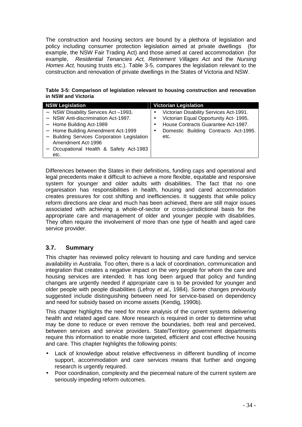The construction and housing sectors are bound by a plethora of legislation and policy including consumer protection legislation aimed at private dwellings (for example, the NSW Fair Trading Act) and those aimed at cared accommodation (for example, Residential Tenancies Act, Retirement Villages Act and the Nursing Homes Act, housing trusts etc.). Table 3-5, compares the legislation relevant to the construction and renovation of private dwellings in the States of Victoria and NSW.

**Table 3-5: Comparison of legislation relevant to housing construction and renovation in NSW and Victoria** 

| <b>NSW Legislation</b>                                                                                                                                                                                                                                             | <b>Victorian Legislation</b>                                                                                                                                                           |
|--------------------------------------------------------------------------------------------------------------------------------------------------------------------------------------------------------------------------------------------------------------------|----------------------------------------------------------------------------------------------------------------------------------------------------------------------------------------|
| - NSW Disability Services Act-1993.<br>- NSW Anti-discrimination Act-1997.<br>- Home Building Act-1989<br>- Home Building Amendment Act-1999<br>- Building Services Corporation Legislation<br>Amendment Act-1996<br>Occupational Health & Safety Act-1983<br>etc. | Victorian Disability Services Act-1991.<br>Victorian Equal Opportunity Act- 1995.<br>House Contracts Guarantee Act-1987.<br>Domestic Building Contracts Act-1995.<br>$\bullet$<br>etc. |

Differences between the States in their definitions, funding caps and operational and legal precedents make it difficult to achieve a more flexible, equitable and responsive system for younger and older adults with disabilities. The fact that no one organisation has responsibilities in health, housing and cared accommodation creates pressures for cost shifting and inefficiencies. It suggests that while policy reform directions are clear and much has been achieved, there are still major issues associated with achieving a whole-of-sector or cross-jurisdictional basis for the appropriate care and management of older and younger people with disabilities. They often require the involvement of more than one type of health and aged care service provider.

### **3.7. Summary**

This chapter has reviewed policy relevant to housing and care funding and service availability in Australia. Too often, there is a lack of coordination, communication and integration that creates a negative impact on the very people for whom the care and housing services are intended. It has long been argued that policy and funding changes are urgently needed if appropriate care is to be provided for younger and older people with people disabilities (Lefroy et al., 1984). Some changes previously suggested include distinguishing between need for service-based on dependency and need for subsidy based on income assets (Kendig, 1990b).

This chapter highlights the need for more analysis of the current systems delivering health and related aged care. More research is required in order to determine what may be done to reduce or even remove the boundaries, both real and perceived, between services and service providers. State/Territory government departments require this information to enable more targeted, efficient and cost effective housing and care. This chapter highlights the following points:

- Lack of knowledge about relative effectiveness in different bundling of income support, accommodation and care services means that further and ongoing research is urgently required.
- Poor coordination, complexity and the piecemeal nature of the current system are seriously impeding reform outcomes.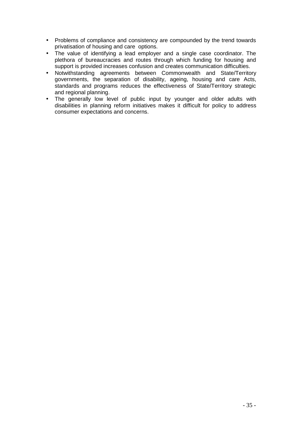- Problems of compliance and consistency are compounded by the trend towards privatisation of housing and care options.
- The value of identifying a lead employer and a single case coordinator. The plethora of bureaucracies and routes through which funding for housing and support is provided increases confusion and creates communication difficulties.
- Notwithstanding agreements between Commonwealth and State/Territory governments, the separation of disability, ageing, housing and care Acts, standards and programs reduces the effectiveness of State/Territory strategic and regional planning.
- The generally low level of public input by younger and older adults with disabilities in planning reform initiatives makes it difficult for policy to address consumer expectations and concerns.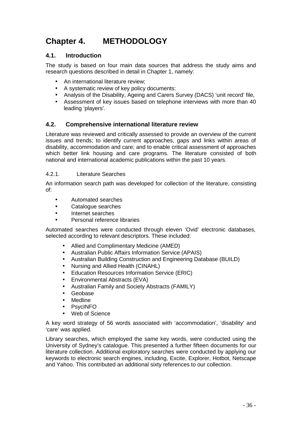# **Chapter 4. METHODOLOGY**

### **4.1. Introduction**

The study is based on four main data sources that address the study aims and research questions described in detail in Chapter 1, namely:

- An international literature review:
- A systematic review of key policy documents:
- Analysis of the Disability, Ageing and Carers Survey (DACS) 'unit record' file,
- Assessment of key issues based on telephone interviews with more than 40 leading 'players'.

### **4.2. Comprehensive international literature review**

Literature was reviewed and critically assessed to provide an overview of the current issues and trends; to identify current approaches, gaps and links within areas of disability, accommodation and care; and to enable critical assessment of approaches which better link housing and care programs. The literature consisted of both national and international academic publications within the past 10 years.

### 4.2.1. Literature Searches

An information search path was developed for collection of the literature, consisting of:

- Automated searches
- Catalogue searches
- Internet searches
- Personal reference libraries

Automated searches were conducted through eleven 'Ovid' electronic databases, selected according to relevant descriptors. These included:

- Allied and Complimentary Medicine (AMED)
- Australian Public Affairs Information Service (APAIS)
- Australian Building Construction and Engineering Database (BUILD)
- Nursing and Allied Health (CINAHL)
- Education Resources Information Service (ERIC)
- Environmental Abstracts (EVA)
- Australian Family and Society Abstracts (FAMILY)
- Geobase
- Medline
- PsycINFO
- Web of Science

A key word strategy of 56 words associated with 'accommodation', 'disability' and 'care' was applied.

Library searches, which employed the same key words, were conducted using the University of Sydney's catalogue. This presented a further fifteen documents for our literature collection. Additional exploratory searches were conducted by applying our keywords to electronic search engines, including, Excite, Explorer, Hotbot, Netscape and Yahoo. This contributed an additional sixty references to our collection.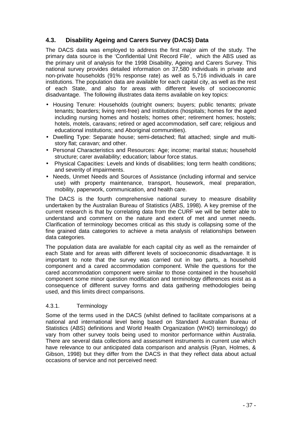### **4.3. Disability Ageing and Carers Survey (DACS) Data**

The DACS data was employed to address the first major aim of the study. The primary data source is the 'Confidential Unit Record File', which the ABS used as the primary unit of analysis for the 1998 Disability, Ageing and Carers Survey. This national survey provides detailed information on 37,580 individuals in private and non-private households (91% response rate) as well as 5,716 individuals in care institutions. The population data are available for each capital city, as well as the rest of each State, and also for areas with different levels of socioeconomic disadvantage. The following illustrates data items available on key topics:

- Housing Tenure: Households (outright owners; buyers; public tenants; private tenants; boarders; living rent-free) and institutions (hospitals; homes for the aged including nursing homes and hostels; homes other; retirement homes; hostels; hotels, motels, caravans; retired or aged accommodation, self care; religious and educational institutions; and Aboriginal communities).
- Dwelling Type: Separate house; semi-detached; flat attached; single and multistory flat; caravan; and other.
- Personal Characteristics and Resources: Age; income; marital status; household structure; carer availability; education; labour force status.
- Physical Capacities: Levels and kinds of disabilities; long term health conditions; and severity of impairments.
- Needs, Unmet Needs and Sources of Assistance (including informal and service use) with property maintenance, transport, housework, meal preparation, mobility, paperwork, communication, and health care.

The DACS is the fourth comprehensive national survey to measure disability undertaken by the Australian Bureau of Statistics (ABS, 1998). A key premise of the current research is that by correlating data from the CURF we will be better able to understand and comment on the nature and extent of met and unmet needs. Clarification of terminology becomes critical as this study is collapsing some of the fine grained data categories to achieve a meta analysis of relationships between data categories.

The population data are available for each capital city as well as the remainder of each State and for areas with different levels of socioeconomic disadvantage. It is important to note that the survey was carried out in two parts, a household component and a cared accommodation component. While the questions for the cared accommodation component were similar to those contained in the household component some minor question modification and terminology differences exist as a consequence of different survey forms and data gathering methodologies being used, and this limits direct comparisons.

### 4.3.1. Terminology

Some of the terms used in the DACS (whilst defined to facilitate comparisons at a national and international level being based on Standard Australian Bureau of Statistics (ABS) definitions and World Health Organization (WHO) terminology) do vary from other survey tools being used to monitor performance within Australia. There are several data collections and assessment instruments in current use which have relevance to our anticipated data comparison and analysis (Ryan, Holmes, & Gibson, 1998) but they differ from the DACS in that they reflect data about actual occasions of service and not perceived need: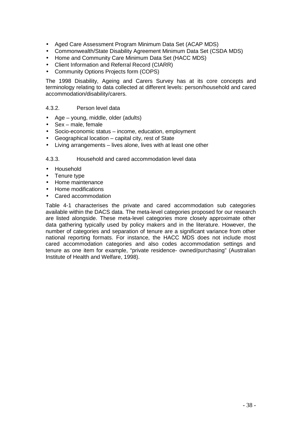- Aged Care Assessment Program Minimum Data Set (ACAP MDS)
- Commonwealth/State Disability Agreement Minimum Data Set (CSDA MDS)
- Home and Community Care Minimum Data Set (HACC MDS)
- Client Information and Referral Record (CIARR)
- Community Options Projects form (COPS)

The 1998 Disability, Ageing and Carers Survey has at its core concepts and terminology relating to data collected at different levels: person/household and cared accommodation/disability/carers.

### 4.3.2. Person level data

- Age young, middle, older (adults)
- Sex male, female
- Socio-economic status income, education, employment
- Geographical location capital city, rest of State
- Living arrangements lives alone, lives with at least one other

### 4.3.3. Household and cared accommodation level data

- Household
- Tenure type
- Home maintenance
- Home modifications
- Cared accommodation

Table 4-1 characterises the private and cared accommodation sub categories available within the DACS data. The meta-level categories proposed for our research are listed alongside. These meta-level categories more closely approximate other data gathering typically used by policy makers and in the literature. However, the number of categories and separation of tenure are a significant variance from other national reporting formats. For instance, the HACC MDS does not include most cared accommodation categories and also codes accommodation settings and tenure as one item for example, "private residence- owned/purchasing" (Australian Institute of Health and Welfare, 1998).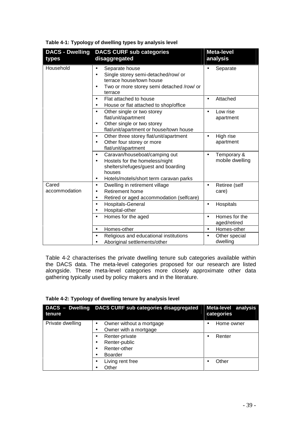|  | Table 4-1: Typology of dwelling types by analysis level |  |
|--|---------------------------------------------------------|--|
|  |                                                         |  |

| <b>DACS - Dwelling</b><br>types | <b>DACS CURF sub categories</b><br>disaggregated                                                                                                                                                  | <b>Meta-level</b><br>analysis              |
|---------------------------------|---------------------------------------------------------------------------------------------------------------------------------------------------------------------------------------------------|--------------------------------------------|
| Household                       | Separate house<br>Single storey semi-detached/row/ or<br>$\bullet$<br>terrace house/town house<br>Two or more storey semi detached /row/ or<br>$\bullet$<br>terrace                               | Separate                                   |
|                                 | Flat attached to house<br>$\bullet$<br>House or flat attached to shop/office<br>٠                                                                                                                 | Attached                                   |
|                                 | Other single or two storey<br>$\bullet$<br>flat/unit/apartment<br>Other single or two storey<br>$\bullet$<br>flat/unit/apartment or house/town house                                              | Low rise<br>apartment                      |
|                                 | Other three storey flat/unit/apartment<br>$\bullet$<br>Other four storey or more<br>$\bullet$<br>flat/unit/apartment                                                                              | High rise<br>$\bullet$<br>apartment        |
|                                 | Caravan/houseboat/camping out<br>$\bullet$<br>Hostels for the homeless/night<br>$\bullet$<br>shelters/refuges/guest and boarding<br>houses<br>Hotels/motels/short term caravan parks<br>$\bullet$ | Temporary &<br>٠<br>mobile dwelling        |
| Cared<br>accommodation          | Dwelling in retirement village<br>$\bullet$<br><b>Retirement home</b><br>Retired or aged accommodation (selfcare)<br>$\bullet$                                                                    | Retiree (self<br>$\bullet$<br>care)        |
|                                 | Hospitals-General<br>$\bullet$<br>Hospital-other<br>$\bullet$                                                                                                                                     | Hospitals<br>$\bullet$                     |
|                                 | Homes for the aged<br>$\bullet$                                                                                                                                                                   | Homes for the<br>$\bullet$<br>aged/retired |
|                                 | Homes-other<br>$\bullet$                                                                                                                                                                          | Homes-other<br>$\bullet$                   |
|                                 | Religious and educational institutions<br>Aboriginal settlements/other                                                                                                                            | Other special<br>dwelling                  |

Table 4-2 characterises the private dwelling tenure sub categories available within the DACS data. The meta-level categories proposed for our research are listed alongside. These meta-level categories more closely approximate other data gathering typically used by policy makers and in the literature.

|  | Table 4-2: Typology of dwelling tenure by analysis level |  |  |
|--|----------------------------------------------------------|--|--|
|  |                                                          |  |  |

| <b>DACS - Dwelling</b><br>tenure | DACS CURF sub categories disaggregated                            | Meta-level analysis<br>categories |
|----------------------------------|-------------------------------------------------------------------|-----------------------------------|
| Private dwelling                 | Owner without a mortgage<br>٠<br>Owner with a mortgage            | Home owner                        |
|                                  | Renter-private<br>Renter-public<br>Renter-other<br><b>Boarder</b> | Renter                            |
|                                  | Living rent free<br>Other                                         | Other                             |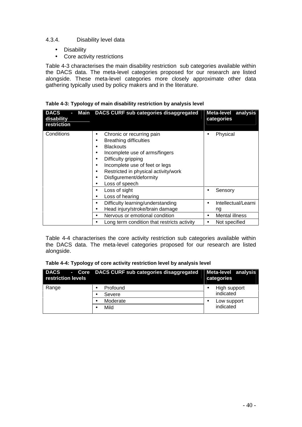### 4.3.4. Disability level data

- Disability
- Core activity restrictions

Table 4-3 characterises the main disability restriction sub categories available within the DACS data. The meta-level categories proposed for our research are listed alongside. These meta-level categories more closely approximate other data gathering typically used by policy makers and in the literature.

| Table 4-3: Typology of main disability restriction by analysis level |  |  |  |
|----------------------------------------------------------------------|--|--|--|
|                                                                      |  |  |  |
|                                                                      |  |  |  |

| <b>DACS</b><br>Main<br>disability<br>restriction | DACS CURF sub categories disaggregated                                                                                                                                                                                                                                                                                                                         | Meta-level analysis<br>categories                      |
|--------------------------------------------------|----------------------------------------------------------------------------------------------------------------------------------------------------------------------------------------------------------------------------------------------------------------------------------------------------------------------------------------------------------------|--------------------------------------------------------|
| Conditions                                       | Chronic or recurring pain<br>$\bullet$<br><b>Breathing difficulties</b><br>٠<br><b>Blackouts</b><br>Incomplete use of arms/fingers<br>$\bullet$<br>Difficulty gripping<br>$\bullet$<br>Incomplete use of feet or legs<br>$\bullet$<br>Restricted in physical activity/work<br>$\bullet$<br>Disfigurement/deformity<br>$\bullet$<br>Loss of speech<br>$\bullet$ | Physical                                               |
|                                                  | Loss of sight<br>$\bullet$<br>Loss of hearing<br>$\bullet$<br>Difficulty learning/understanding<br>$\bullet$<br>Head injury/stroke/brain damage<br>$\bullet$<br>Nervous or emotional condition<br>$\bullet$                                                                                                                                                    | Sensory<br>Intellectual/Learni<br>ng<br>Mental illness |
|                                                  | Long term condition that restricts activity                                                                                                                                                                                                                                                                                                                    | Not specified                                          |

Table 4-4 characterises the core activity restriction sub categories available within the DACS data. The meta-level categories proposed for our research are listed alongside.

|  | Table 4-4: Typology of core activity restriction level by analysis level |  |
|--|--------------------------------------------------------------------------|--|
|--|--------------------------------------------------------------------------|--|

| <b>DACS</b><br>$\sim$<br>restriction levels | Core   DACS CURF sub categories disaggregated | Meta-level analysis<br>categories |
|---------------------------------------------|-----------------------------------------------|-----------------------------------|
| Range                                       | Profound<br>Severe                            | High support<br>indicated         |
|                                             | Moderate<br>Mild                              | Low support<br>indicated          |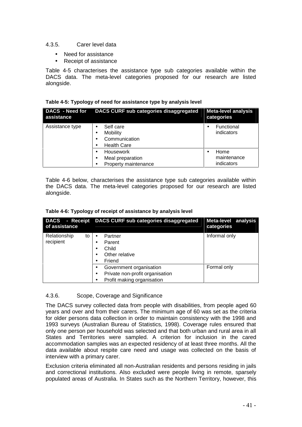### 4.3.5. Carer level data

- Need for assistance
- Receipt of assistance

Table 4-5 characterises the assistance type sub categories available within the DACS data. The meta-level categories proposed for our research are listed alongside.

|  | Table 4-5: Typology of need for assistance type by analysis level |  |  |
|--|-------------------------------------------------------------------|--|--|
|  |                                                                   |  |  |

| DACS - Need for<br>assistance | DACS CURF sub categories disaggregated                                                     | <b>Meta-level analysis</b><br>categories |
|-------------------------------|--------------------------------------------------------------------------------------------|------------------------------------------|
| Assistance type               | Self care<br>$\bullet$<br><b>Mobility</b><br>٠<br>Communication<br>٠<br><b>Health Care</b> | Functional<br>indicators                 |
|                               | <b>Housework</b><br>٠<br>Meal preparation<br>٠<br>Property maintenance<br>٠                | Home<br>maintenance<br>indicators        |

Table 4-6 below, characterises the assistance type sub categories available within the DACS data. The meta-level categories proposed for our research are listed alongside.

| <b>DACS</b><br>- Receipt<br>of assistance | DACS CURF sub categories disaggregated                                                                             | Meta-level analysis<br>categories |  |
|-------------------------------------------|--------------------------------------------------------------------------------------------------------------------|-----------------------------------|--|
| Relationship<br>to<br>recipient           | Partner<br>Parent<br>٠<br>Child<br>$\bullet$<br>Other relative<br>٠<br>Friend<br>٠                                 | Informal only                     |  |
|                                           | Government organisation<br>$\bullet$<br>Private non-profit organisation<br>$\bullet$<br>Profit making organisation | Formal only                       |  |

### 4.3.6. Scope, Coverage and Significance

The DACS survey collected data from people with disabilities, from people aged 60 years and over and from their carers. The minimum age of 60 was set as the criteria for older persons data collection in order to maintain consistency with the 1998 and 1993 surveys (Australian Bureau of Statistics, 1998). Coverage rules ensured that only one person per household was selected and that both urban and rural area in all States and Territories were sampled. A criterion for inclusion in the cared accommodation samples was an expected residency of at least three months. All the data available about respite care need and usage was collected on the basis of interview with a primary carer.

Exclusion criteria eliminated all non-Australian residents and persons residing in jails and correctional institutions. Also excluded were people living in remote, sparsely populated areas of Australia. In States such as the Northern Territory, however, this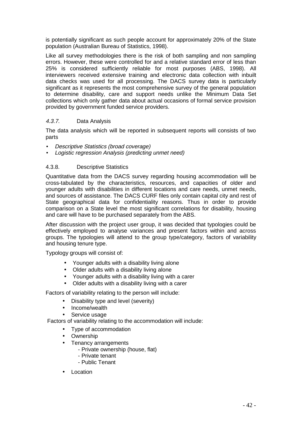is potentially significant as such people account for approximately 20% of the State population (Australian Bureau of Statistics, 1998).

Like all survey methodologies there is the risk of both sampling and non sampling errors. However, these were controlled for and a relative standard error of less than 25% is considered sufficiently reliable for most purposes (ABS, 1998). All interviewers received extensive training and electronic data collection with inbuilt data checks was used for all processing. The DACS survey data is particularly significant as it represents the most comprehensive survey of the general population to determine disability, care and support needs unlike the Minimum Data Set collections which only gather data about actual occasions of formal service provision provided by government funded service providers.

### 4.3.7. Data Analysis

The data analysis which will be reported in subsequent reports will consists of two parts

- Descriptive Statistics (broad coverage)
- Logistic regression Analysis (predicting unmet need)

### 4.3.8. Descriptive Statistics

Quantitative data from the DACS survey regarding housing accommodation will be cross-tabulated by the characteristics, resources, and capacities of older and younger adults with disabilities in different locations and care needs, unmet needs, and sources of assistance. The DACS CURF files only contain capital city and rest of State geographical data for confidentiality reasons. Thus in order to provide comparison on a State level the most significant correlations for disability, housing and care will have to be purchased separately from the ABS.

After discussion with the project user group, it was decided that typologies could be effectively employed to analyse variances and present factors within and across groups. The typologies will attend to the group type/category, factors of variability and housing tenure type.

Typology groups will consist of:

- Younger adults with a disability living alone
- Older adults with a disability living alone
- Younger adults with a disability living with a carer
- Older adults with a disability living with a carer

Factors of variability relating to the person will include:

- Disability type and level (severity)
- Income/wealth
- Service usage

Factors of variability relating to the accommodation will include:

- Type of accommodation
- Ownership
- Tenancy arrangements
	- Private ownership (house, flat)
	- Private tenant
	- Public Tenant
- Location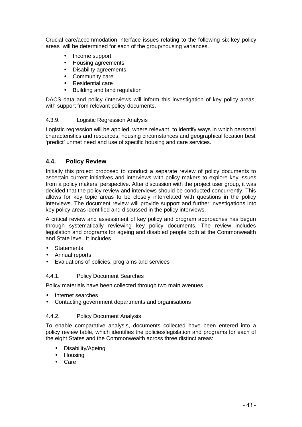Crucial care/accommodation interface issues relating to the following six key policy areas will be determined for each of the group/housing variances.

- Income support
- Housing agreements
- Disability agreements
- Community care
- Residential care
- Building and land regulation

DACS data and policy /interviews will inform this investigation of key policy areas, with support from relevant policy documents.

### 4.3.9. Logistic Regression Analysis

Logistic regression will be applied, where relevant, to identify ways in which personal characteristics and resources, housing circumstances and geographical location best 'predict' unmet need and use of specific housing and care services.

### **4.4. Policy Review**

Initially this project proposed to conduct a separate review of policy documents to ascertain current initiatives and interviews with policy makers to explore key issues from a policy makers' perspective. After discussion with the project user group, it was decided that the policy review and interviews should be conducted concurrently. This allows for key topic areas to be closely interrelated with questions in the policy interviews. The document review will provide support and further investigations into key policy areas identified and discussed in the policy interviews.

A critical review and assessment of key policy and program approaches has begun through systematically reviewing key policy documents. The review includes legislation and programs for ageing and disabled people both at the Commonwealth and State level. It includes

- Statements
- Annual reports
- Evaluations of policies, programs and services

### 4.4.1. Policy Document Searches

Policy materials have been collected through two main avenues

- Internet searches
- Contacting government departments and organisations

### 4.4.2. Policy Document Analysis

To enable comparative analysis, documents collected have been entered into a policy review table, which identifies the policies/legislation and programs for each of the eight States and the Commonwealth across three distinct areas:

- Disability/Ageing
- Housing
- Care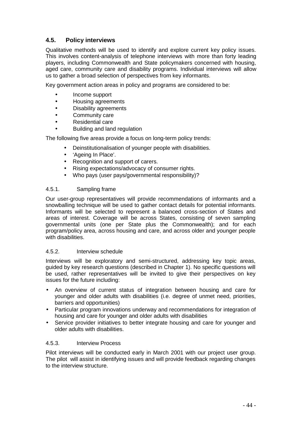### **4.5. Policy interviews**

Qualitative methods will be used to identify and explore current key policy issues. This involves content-analysis of telephone interviews with more than forty leading players, including Commonwealth and State policymakers concerned with housing, aged care, community care and disability programs. Individual interviews will allow us to gather a broad selection of perspectives from key informants.

Key government action areas in policy and programs are considered to be:

- Income support
- Housing agreements
- Disability agreements
- Community care
- Residential care
- Building and land regulation

The following five areas provide a focus on long-term policy trends:

- Deinstitutionalisation of younger people with disabilities.
- 'Ageing In Place'.
- Recognition and support of carers.
- Rising expectations/advocacy of consumer rights.
- Who pays (user pays/governmental responsibility)?

### 4.5.1. Sampling frame

Our user-group representatives will provide recommendations of informants and a snowballing technique will be used to gather contact details for potential informants. Informants will be selected to represent a balanced cross-section of States and areas of interest. Coverage will be across States, consisting of seven sampling governmental units (one per State plus the Commonwealth); and for each program/policy area, across housing and care, and across older and younger people with disabilities.

### 4.5.2. Interview schedule

Interviews will be exploratory and semi-structured, addressing key topic areas, guided by key research questions (described in Chapter 1). No specific questions will be used, rather representatives will be invited to give their perspectives on key issues for the future including:

- An overview of current status of integration between housing and care for younger and older adults with disabilities (i.e. degree of unmet need, priorities, barriers and opportunities)
- Particular program innovations underway and recommendations for integration of housing and care for younger and older adults with disabilities
- Service provider initiatives to better integrate housing and care for younger and older adults with disabilities.

### 4.5.3. Interview Process

Pilot interviews will be conducted early in March 2001 with our project user group. The pilot will assist in identifying issues and will provide feedback regarding changes to the interview structure.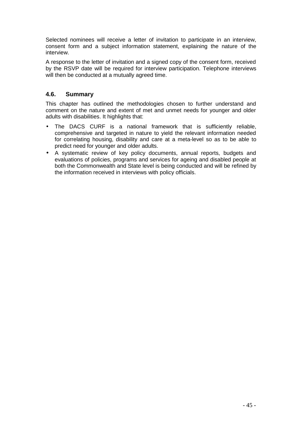Selected nominees will receive a letter of invitation to participate in an interview, consent form and a subject information statement, explaining the nature of the interview.

A response to the letter of invitation and a signed copy of the consent form, received by the RSVP date will be required for interview participation. Telephone interviews will then be conducted at a mutually agreed time.

### **4.6. Summary**

This chapter has outlined the methodologies chosen to further understand and comment on the nature and extent of met and unmet needs for younger and older adults with disabilities. It highlights that:

- The DACS CURF is a national framework that is sufficiently reliable, comprehensive and targeted in nature to yield the relevant information needed for correlating housing, disability and care at a meta-level so as to be able to predict need for younger and older adults.
- A systematic review of key policy documents, annual reports, budgets and evaluations of policies, programs and services for ageing and disabled people at both the Commonwealth and State level is being conducted and will be refined by the information received in interviews with policy officials.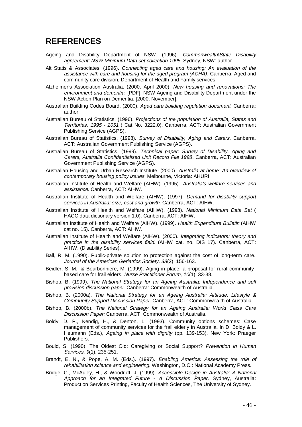### **REFERENCES**

- Ageing and Disability Department of NSW. (1996). Commonwealth\State Disability agreement: NSW Minimum Data set collection 1995. Sydney, NSW: author.
- Alt Statis & Associates. (1996). Connecting aged care and housing: An evaluation of the assistance with care and housing for the aged program (ACHA). Canberra: Aged and community care division, Department of Health and Family services.
- Alzheimer's Association Australia. (2000, April 2000). New housing and renovations: The environment and dementia, [PDF]. NSW Ageing and Disability Department under the NSW Action Plan on Dementia. [2000, November].
- Australian Building Codes Board. (2000). Aged care building regulation document. Canberra: author.
- Australian Bureau of Statistics. (1996). Projections of the population of Australia, States and Territories, 1995 - 2051 ( Cat No. 3222.0). Canberra, ACT: Australian Government Publishing Service (AGPS).
- Australian Bureau of Statistics. (1998). Survey of Disability, Aging and Carers. Canberra, ACT: Australian Government Publishing Service (AGPS).
- Australian Bureau of Statistics. (1999). Technical paper: Survey of Disability, Aging and Carers, Australia Confidentialised Unit Record File 1998. Canberra, ACT: Australian Government Publishing Service (AGPS).
- Australian Housing and Urban Research Institute. (2000). Australia at home: An overview of contemporary housing policy issues. Melbourne, Victoria: AHURI.
- Australian Institute of Health and Welfare (AIHW). (1995). Australia's welfare services and assistance. Canberra, ACT: AIHW.
- Australian Institute of Health and Welfare (AIHW). (1997). Demand for disability support services in Australia: size, cost and growth. Canberra, ACT: AIHW.
- Australian Institute of Health and Welfare (AIHW). (1998). National Minimum Data Set ( HACC data dictionary version 1.0). Canberra, ACT: AIHW.
- Australian Institute of Health and Welfare (AIHW). (1999). Health Expenditure Bulletin (AIHW cat no. 15). Canberra, ACT: AIHW.
- Australian Institute of Health and Welfare (AIHW). (2000). Integrating indicators: theory and practice in the disability services field. (AIHW cat. no. DIS 17). Canberra, ACT: AIHW. (Disability Series).
- Ball, R. M. (1990). Public-private solution to protection against the cost of long-term care. Journal of the American Geriatrics Society, 38(2), 156-163.
- Beidler, S. M., & Bourbonniere, M. (1999). Aging in place: a proposal for rural communitybased care for frail elders. Nurse Practitioner Forum, 10(1), 33-38.
- Bishop, B. (1999). The National Strategy for an Ageing Australia: Independence and self provision discussion paper. Canberra: Commonwealth of Australia.
- Bishop, B. (2000a). The National Strategy for an Ageing Australia: Attitude, Lifestyle & Community Support Discussion Paper: Canberra, ACT: Commonwealth of Australia.
- Bishop, B. (2000b). The National Strategy for an Ageing Australia: World Class Care Discussion Paper: Canberra, ACT: Commonwealth of Australia.
- Boldy, D. P., Kendig, H., & Denton, L. (1993). Community options schemes: Case management of community services for the frail elderly in Australia. In D. Boldy & L. Heumann (Eds.), Ageing in place with dignity (pp. 139-153). New York: Praeger Publishers.
- Bould, S. (1990). The Oldest Old: Caregiving or Social Support? Prevention in Human Services, 9(1), 235-251.
- Brandt, E. N., & Pope, A. M. (Eds.). (1997). Enabling America: Assessing the role of rehabilitation science and engineering. Washington, D.C.: National Academy Press.
- Bridge, C., McAuley, H., & Woodruff, J. (1999). Accessible Design in Australia: A National Approach for an Integrated Future - A Discussion Paper. Sydney, Australia: Production Services Printing, Faculty of Health Sciences, The University of Sydney.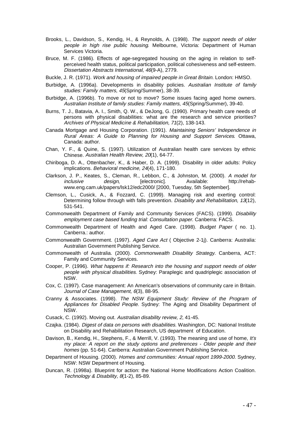- Brooks, L., Davidson, S., Kendig, H., & Reynolds, A. (1998). The support needs of older people in high rise public housing. Melbourne, Victoria: Department of Human Services Victoria.
- Bruce, M. F. (1986). Effects of age-segregated housing on the aging in relation to selfperceived health status, political participation, political cohesiveness and self-esteem. Dissertation Abstracts International, 46(9-A), 2779.
- Buckle, J. R. (1971). Work and housing of impaired people in Great Britain. London: HMSO.
- Burbidge, A. (1996a). Developments in disability policies. Australian Institute of family studies: Family matters, 45(Spring/Summer), 38-39.
- Burbidge, A. (1996b). To move or not to move? Some issues facing aged home owners. Australian Institute of family studies: Family matters, 45(Spring/Summer), 39-40.
- Burns, T. J., Batavia, A. I., Smith, Q. W., & DeJong, G. (1990). Primary health care needs of persons with physical disabilities: what are the research and service priorities? Archives of Physical Medicine & Rehabilitation, 71(2), 138-143.
- Canada Mortgage and Housing Corporation. (1991). Maintaining Seniors' Independence in Rural Areas: A Guide to Planning for Housing and Support Services. Ottawa, Canada: author.
- Chan, Y. F., & Quine, S. (1997). Utilization of Australian health care services by ethnic Chinese. Australian Health Review, 20(1), 64-77.
- Chiriboga, D. A., Ottenbacher, K., & Haber, D. A. (1999). Disability in older adults: Policy implications. Behavioral medicine, 24(4), 171-180.
- Clarkson, J. P., Keates, S., Cleman, R., Lebbon, C., & Johnston, M. (2000). A model for inclusive design, [electronic]. Available: http://rehabwww.eng.cam.uk/papers/lsk12/edc2000/ [2000, Tuesday, 5th September].
- Clemson, L., Cusick, A., & Fozzard, C. (1999). Managing risk and exerting control: Determining follow through with falls prevention. Disability and Rehabilitation, 13(12), 531-541.
- Commonwealth Department of Family and Community Services (FACS). (1999). Disability employment case based funding trial: Consultation paper. Canberra: FACS.
- Commonwealth Department of Health and Aged Care. (1998). Budget Paper ( no. 1). Canberra.: author.
- Commonwealth Government. (1997). Aged Care Act ( Objective 2-1j). Canberra: Australia: Australian Government Publishing Service.
- Commonwealth of Australia. (2000). Commonwealth Disability Strategy. Canberra, ACT: Family and Community Services.
- Cooper, P. (1996). What happens if: Research into the housing and support needs of older people with physical disabilities. Sydney: Paraplegic and quadriplegic association of NSW.
- Cox, C. (1997). Case management: An American's observations of community care in Britain. Journal of Case Management, 6(3), 88-95.
- Cranny & Associates. (1998). The NSW Equipment Study: Review of the Program of Appliances for Disabled People. Sydney: The Aging and Disability Department of NSW.
- Cusack, C. (1992). Moving out. Australian disability review, 2, 41-45.
- Czajka. (1984). *Digest of data on persons with disabilities*. Washington, DC: National Institute on Disability and Rehabilitation Research, US department of Education.
- Davison, B., Kendig, H., Stephens, F., & Merrill, V. (1993). The meaning and use of home, It's my place: A report on the study options and preferences - Older people and their homes (pp. 51-64). Canberra: Australian Government Publishing Service.
- Department of Housing. (2000). Homes and communities: Annual report 1999-2000. Sydney, NSW: NSW Department of Housing.
- Duncan, R. (1998a). Blueprint for action: the National Home Modifications Action Coalition. Technology & Disability, 8(1-2), 85-89.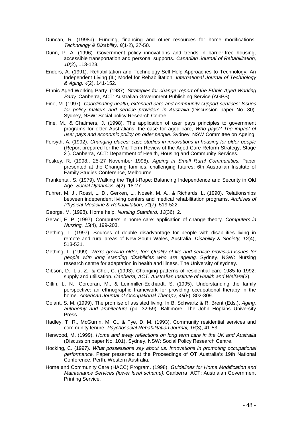- Duncan, R. (1998b). Funding, financing and other resources for home modifications. Technology & Disability, 8(1-2), 37-50.
- Dunn, P. A. (1996). Government policy innovations and trends in barrier-free housing, accessible transportation and personal supports. Canadian Journal of Rehabilitation, 10(2), 113-123.
- Enders, A. (1991). Rehabilitation and Technology-Self-Help Approaches to Technology: An Independent Living (IL) Model for Rehabilitation. International Journal of Technology & Aging, 4(2), 141-152.
- Ethnic Aged Working Party. (1987). Strategies for change: report of the Ethnic Aged Working Party. Canberra, ACT: Australian Government Publishing Service (AGPS).
- Fine, M. (1997). Coordinating health, extended care and community support services: Issues for policy makers and service providers in Australia (Discussion paper No. 80). Sydney, NSW: Social policy Research Centre.
- Fine, M., & Chalmers, J. (1998). The application of user pays principles to government programs for older Australians: the case for aged care, Who pays? The impact of user pays and economic policy on older people. Sydney: NSW Committee on Ageing.
- Forsyth, A. (1992). Changing places: case studies in innovations in housing for older people (Report prepared for the Mid-Term Review of the Aged Care Reform Strategy, Stage 2 ). Canberra, ACT: Department of Health, Housing and Community Services.
- Foskey, R. (1998., 25-27 November 1998). Ageing in Small Rural Communities. Paper presented at the Changing families, challenging futures: 6th Australian Institute of Family Studies Conference, Melbourne.
- Frankental, S. (1979). Walking the Tight-Rope: Balancing Independence and Security in Old Age. Social Dynamics, 5(2), 18-27.
- Fuhrer, M. J., Rossi, L. D., Gerken, L., Nosek, M. A., & Richards, L. (1990). Relationships between independent living centers and medical rehabilitation programs. Archives of Physical Medicine & Rehabilitation, 71(7), 519-522.
- George, M. (1998). Home help. Nursing Standard, 12(36), 2.
- Geraci, E. P. (1997). Computers in home care: application of change theory. Computers in Nursing, 15(4), 199-203.
- Gething, L. (1997). Sources of double disadvantage for people with disabilities living in remote and rural areas of New South Wales, Australia. Disability & Society, 12(4), 513-531.
- Gething, L. (1999). We're growing older, too: Quality of life and service provision issues for people with long standing disabilities who are ageing. Sydney, NSW: Nursing research centre for adaptation in health and illness, The University of sydney.
- Gibson, D., Liu, Z., & Choi, C. (1993). Changing patterns of residential care 1985 to 1992: supply and utilisation. Canberra, ACT: Australian Institute of Health and Welfare(3).
- Gitlin, L. N., Corcoran, M., & Leinmiller-Eckhardt, S. (1995). Understanding the family perspective: an ethnographic framework for providing occupational therapy in the home. American Journal of Occupational Therapy, 49(8), 802-809.
- Golant, S. M. (1999). The promise of assisted living. In B. Schwartz & R. Brent (Eds.), Aging, autonomy and architecture (pp. 32-59). Baltimore: The John Hopkins University Press.
- Hadley, T. R., McGurrin, M. C., & Fye, D. M. (1993). Community residential services and community tenure. Psychosocial Rehabilitation Journal, 16(3), 41-53.
- Henwood, M. (1999). Home and away reflections on long term care in the UK and Australia (Discussion paper No. 101). Sydney, NSW: Social Policy Research Centre.
- Hocking, C. (1997). What possessions say about us: Innovations in promoting occupational performance. Paper presented at the Proceedings of OT Australia's 19th National Conference, Perth, Western Australia.
- Home and Community Care (HACC) Program. (1998). Guidelines for Home Modification and Maintenance Services (lower level scheme). Canberra, ACT: Austrlaian Government Printing Service.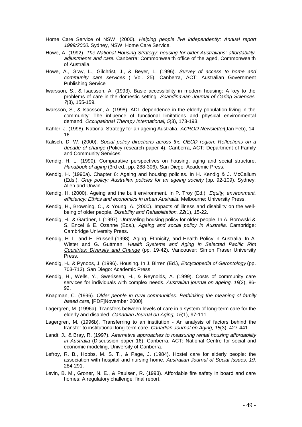- Home Care Service of NSW. (2000). Helping people live independently: Annual report 1999/2000. Sydney, NSW: Home Care Service.
- Howe, A. (1992). The National Housing Strategy: housing for older Australians: affordability, adjustments and care. Canberra: Commonwealth office of the aged, Commonwealth of Australia.
- Howe, A., Gray, L., Gilchrist, J., & Beyer, L. (1996). Survey of access to home and community care services ( Vol. 25). Canberra, ACT: Australian Government Publishing Service
- Iwarsson, S., & Isacsson, A. (1993). Basic accessibility in modern housing: A key to the problems of care in the domestic setting. Scandinavian Journal of Caring Sciences, <sup>7</sup>(3), 155-159.
- Iwarsson, S., & Isacsson, A. (1998). ADL dependence in the elderly population living in the community: The influence of functional limitations and physical environmental demand. Occupational Therapy International, 5(3), 173-193.
- Kahler, J. (1998). National Strategy for an ageing Australia. ACROD Newsletter(Jan Feb), 14-16.
- Kalisch, D. W. (2000). Social policy directions across the OECD region: Reflections on a decade of change (Policy research paper 4). Canberra, ACT: Department of Family and Community Services.
- Kendig, H. L. (1990). Comparative perspectives on housing, aging and social structure, Handbook of aging (3rd ed., pp. 288-306). San Diego: Academic Press.
- Kendig, H. (1990a). Chapter 6: Ageing and housing policies. In H. Kendig & J. McCallum (Eds.), Grey policy: Australian policies for an ageing society (pp. 92-109). Sydney: Allen and Unwin.
- Kendig, H. (2000). Ageing and the built environment. In P. Troy (Ed.), Equity, environment, efficiency: Ethics and economics in urban Australia. Melbourne: University Press.
- Kendig, H., Browning, C., & Young, A. (2000). Impacts of illness and disability on the wellbeing of older people. Disability and Rehabilitation, 22(1), 15-22.
- Kendig, H., & Gardner, I. (1997). Unraveling housing policy for older people. In A. Borowski & S. Encel & E. Ozanne (Eds.), Ageing and social policy in Australia. Cambridge: Cambridge University Press.
- Kendig, H. L. and H. Russell (1998). Aging, Ethnicity, and Health Policy in Australia. In A. Wister and G. Guttman. Health Systems and Aging in Selected Pacific Rim Countries: Diversity and Change (pp. 19-42). Vancouver: Simon Fraser University Press.
- Kendig, H., & Pynoos, J. (1996). Housing. In J. Birren (Ed.), Encyclopedia of Gerontology (pp. 703-713). San Diego: Academic Press.
- Kendig, H., Wells, Y., Swerissen, H., & Reynolds, A. (1999). Costs of community care services for individuals with complex needs. Australian journal on ageing, 18(2), 86-92.
- Knapman, C. (1996). Older people in rural communities: Rethinking the meaning of family based care, [PDF]November 2000].
- Lagergren, M. (1996a). Transfers between levels of care in a system of long-term care for the elderly and disabled. Canadian Journal on Aging, 15(1), 97-111.
- Lagergren, M. (1996b). Transferring to an institution An analysis of factors behind the transfer to institutional long-term care. Canadian Journal on Aging, 15(3), 427-441.
- Landt, J., & Bray, R. (1997). Alternative approaches to measuring rental housing affordability in Australia (Discussion paper 16). Canberra, ACT: National Centre for social and economic modeling, University of Canberra.
- Lefroy, R. B., Hobbs, M. S. T., & Page, J. (1984). Hostel care for elderly people: the association with hospital and nursing home. Australian Journal of Social Issues, 19, 284-291.
- Levin, B. M., Groner, N. E., & Paulsen, R. (1993). Affordable fire safety in board and care homes: A regulatory challenge: final report.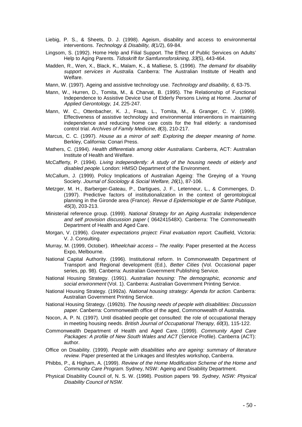- Liebig, P. S., & Sheets, D. J. (1998). Ageism, disability and access to environmental interventions. Technology & Disability, 8(1/2), 69-84.
- Lingsom, S. (1992). Home Help and Filial Support. The Effect of Public Services on Adults' Help to Aging Parents. Tidsskrift for Samfunnsforskning, 33(5), 443-464.
- Madden, R., Wen, X., Black, K., Malam, K., & Malliese, S. (1996). The demand for disability support services in Australia. Canberra: The Australian Institute of Health and Welfare.
- Mann, W. (1997). Ageing and assistive technology use. Technology and disability, 6, 63-75.
- Mann, W., Hurren, D., Tomita, M., & Charvat, B. (1995). The Relationship of Functional Independence to Assistive Device Use of Elderly Persons Living at Home. Journal of Applied Gerontology, 14, 225-247.
- Mann, W. C., Ottenbacher, K. J., Fraas, L., Tomita, M., & Granger, C. V. (1999). Effectiveness of assistive technology and environmental interventions in maintaining independence and reducing home care costs for the frail elderly: a randomised control trial. Archives of Family Medicine, 8(3), 210-217.
- Marcus, C. C. (1997). House as a mirror of self: Exploring the deeper meaning of home. Berkley, California: Conari Press.
- Mathers, C. (1994). Health differentials among older Australians. Canberra, ACT: Australian Institute of Health and Welfare.
- McCafferty, P. (1994). Living independently: A study of the housing needs of elderly and disabled people. London: HMSO Department of the Environment.
- McCallum, J. (1999). Policy Implications of Australian Ageing: The Greying of a Young Society. Journal of Sociology & Social Welfare, 26(1), 87-106.
- Metzger, M. H., Barberger-Gateau, P., Dartigues, J. F., Letenneur, L., & Commenges, D. (1997). Predictive factors of institutionalization in the context of gerontological planning in the Gironde area (France). Revue d Epidemiologie et de Sante Publique, 45(3), 203-213.
- Ministerial reference group. (1999). National Strategy for an Aging Australia: Independence and self provision discussion paper ( 064241548X). Canberra: The Commonwealth Department of Health and Aged Care.
- Morgan, V. (1996). Greater expectations project: Final evaluation report. Caulfield, Victoria: V. J. Consulting.
- Murray, M. (1999, October). Wheelchair access The reality. Paper presented at the Access Expo, Melbourne.
- National Capital Authority. (1996). Institutional reform. In Commonwealth Department of Transport and Regional development (Ed.), Better Cities (Vol. Occasional paper series, pp. 98). Canberra: Australian Government Publishing Service.
- National Housing Strategy. (1991). Australian housing: The demographic, economic and social environment (Vol. 1). Canberra: Australian Government Printing Service.
- National Housing Strategy. (1992a). National housing strategy: Agenda for action. Canberra: Australian Government Printing Service.
- National Housing Strategy. (1992b). The housing needs of people with disabilities: Discussion paper. Canberra: Commonwealth office of the aged, Commonwealth of Australia.
- Nocon, A. P. N. (1997). Until disabled people get consulted: the role of occupational therapy in meeting housing needs. British Journal of Occupational Therapy, 60(3), 115-122.
- Commonwealth Department of Health and Aged Care. (1999). Community Aged Care Packages: A profile of New South Wales and ACT (Service Profile). Canberra (ACT): author.
- Office on Disability. (1999). People with disabilities who are ageing: summary of literature review. Paper presented at the Linkages and lifestyles workshop, Canberra.
- Phibbs, P., & Higham, A. (1999). Review of the Home Modification Scheme of the Home and Community Care Program. Sydney, NSW: Ageing and Disability Department.
- Physical Disability Council of, N. S. W. (1998). Position papers '99. Sydney, NSW: Physical Disability Council of NSW.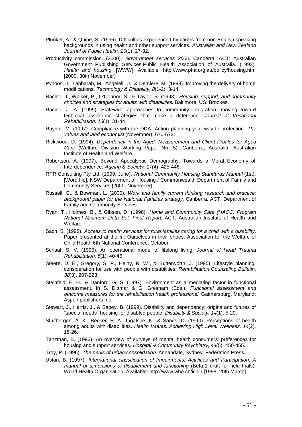- Plunket, A., & Quine, S. (1996). Difficulties experienced by carers from non-English speaking backgrounds in using health and other support services. Australian and New Zealand Journal of Public Health, 20(1), 27-32.
- Productivity commission. (2000). Government services 2000. Canberra, ACT: Australian Government Publishing Services.Public Health Association of Australia. (1993). Health and housing, [WWW]. Available: http://www.pha.org.au/policy/housing.htm [2000, 30th November].
- Pynoos, J., Tabbarah, M., Angelelli, J., & Demiere, M. (1998). Improving the delivery of home modifications. Technology & Disability, 8(1-2), 3-14.
- Racino, J., Walker, P., O'Connor, S., & Taylor, S. (1993). Housing, support, and community choices and strategies for adults with disabilities. Baltimore, US: Brookes.
- Racino, J. A. (1999). Statewide approaches to community integration: moving toward technical assistance strategies that make a difference. Journal of Vocational Rehabilitation, 13(1), 31-44.
- Raynor, M. (1997). Compliance with the DDA- Action planning your way to protection. The values and land economist (November), 670-673.
- Rickwood, D. (1994). Dependency in the Aged: Measurement and Client Profiles for Aged Care (Welfare Division Working Paper No. 5). Canberra, Australia: Australian Institute of Health and Welfare.
- Robertson, A. (1997). Beyond Apocalyptic Demography: Towards a Moral Economy of Interdependence. Ageing & Society, 17(4), 425-446.
- RPR Consulting Pty Ltd. (1999, June). National Community Housing Standards Manual (1st), [Word file]. NSW Department of Housing / Commonwealth Department of Family and Community Services [2000, November].
- Russell, G., & Bowman, L. (2000). Work and family current thinking research and practice: background paper for the National Families strategy. Canberra, ACT: Department of Family and Community Services.
- Ryan, T., Holmes, B., & Gibson, D. (1998). Home and Community Care (HACC) Program National Minimum Data Set: Final Report. ACT: Australian Institute of Health and Welfare.
- Sach, S. (1998). Access to health services for rural families caring for a child with a disability. Paper presented at the In: Ourselves in their shoes: Association for the Welfare of Child Health 6th National Conference, October.
- Schaaf, S. V. (1990). An operational model of lifelong living. Journal of Head Trauma Rehabilitation, 5(1), 40-46.
- Steere, D. E., Gregory, S. P., Heiny, R. W., & Butterworth, J. (1995). Lifestyle planning: consideration for use with people with disabilities. Rehabilitation Counseling Bulletin, 38(3), 207-223.
- Steinfeld, E. H., & Danford, G. S. (1997). Environment as a mediating factor in functional assessment. In S. Dittmar & G. Gresham (Eds.), Functional assessment and outcome measures for the rehabilitation health professional. Gaithersburg, Maryland: Aspen publishers Inc.
- Stewart, J., Harris, J., & Sapey, B. (1999). Disability and dependency: origins and futures of "special needs" housing for disabled people. Disability & Society, 14(1), 5-20.
- Stuifbergen, A. K., Becker, H. A., Ingalsbe, K., & Sands, D. (1990). Perceptions of health among adults with disabilities. Health Values: Achieving High Level Wellness, 14(2), 18-26.
- Tanzman, B. (1993). An overview of surveys of mental health consumers' preferences for housing and support services. Hospital & Community Psychiatry, 44(5), 450-455.
- Troy, P. (1996). The perils of urban consolidation. Annandale, Sydney: Federation Press.
- Ustan, B. (1997). International classification of Impairments, Activities and Participation: A manual of dimensions of disablement and functioning (Beta-1 draft for field trials). World Health Organisation. Available: http://www.who.ch/icidh [1998, 20th March].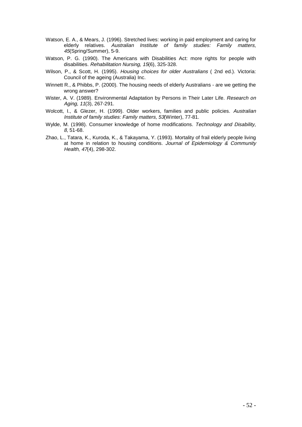- Watson, E. A., & Mears, J. (1996). Stretched lives: working in paid employment and caring for elderly relatives. Australian Institute of family studies: Family matters, 45(Spring/Summer), 5-9.
- Watson, P. G. (1990). The Americans with Disabilities Act: more rights for people with disabilities. Rehabilitation Nursing, 15(6), 325-328.
- Wilson, P., & Scott, H. (1995). Housing choices for older Australians ( 2nd ed.). Victoria: Council of the ageing (Australia) Inc.
- Winnett R., & Phibbs, P. (2000). The housing needs of elderly Australians are we getting the wrong answer?
- Wister, A. V. (1989). Environmental Adaptation by Persons in Their Later Life. Research on Aging, 11(3), 267-291.
- Wolcott, I., & Glezer, H. (1999). Older workers, families and public policies. Australian Institute of family studies: Family matters, 53(Winter), 77-81.
- Wylde, M. (1998). Consumer knowledge of home modifications. Technology and Disability, 8, 51-68.
- Zhao, L., Tatara, K., Kuroda, K., & Takayama, Y. (1993). Mortality of frail elderly people living at home in relation to housing conditions. Journal of Epidemiology & Community Health, 47(4), 298-302.